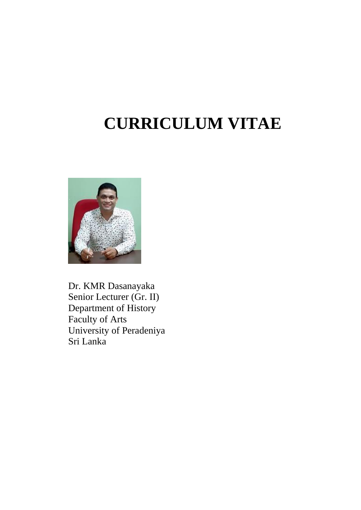# **CURRICULUM VITAE**



Dr. KMR Dasanayaka Senior Lecturer (Gr. II) Department of History Faculty of Arts University of Peradeniya Sri Lanka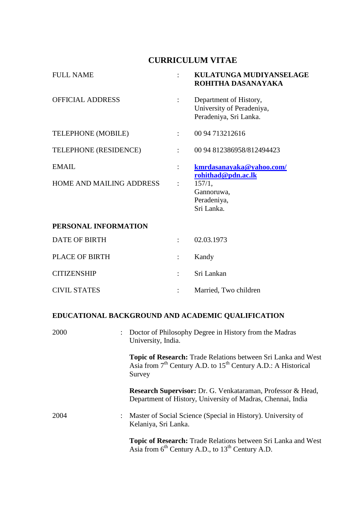## **CURRICULUM VITAE**

| <b>FULL NAME</b>                |                      | <b>KULATUNGA MUDIYANSELAGE</b><br>ROHITHA DASANAYAKA                          |
|---------------------------------|----------------------|-------------------------------------------------------------------------------|
| <b>OFFICIAL ADDRESS</b>         |                      | Department of History,<br>University of Peradeniya,<br>Peradeniya, Sri Lanka. |
| TELEPHONE (MOBILE)              | ÷                    | 00 94 713212616                                                               |
| TELEPHONE (RESIDENCE)           | $\ddot{\phantom{0}}$ | 00 94 812386958/812494423                                                     |
| <b>EMAIL</b>                    | $\ddot{\cdot}$       | kmrdasanayaka@yahoo.com/<br>rohithad@pdn.ac.lk                                |
| <b>HOME AND MAILING ADDRESS</b> | $\ddot{\cdot}$       | 157/1,<br>Gannoruwa,<br>Peradeniya,<br>Sri Lanka.                             |

## **PERSONAL INFORMATION**

| DATE OF BIRTH         | 02.03.1973            |
|-----------------------|-----------------------|
| <b>PLACE OF BIRTH</b> | Kandy                 |
| <b>CITIZENSHIP</b>    | : Sri Lankan          |
| <b>CIVIL STATES</b>   | Married, Two children |

# **EDUCATIONAL BACKGROUND AND ACADEMIC QUALIFICATION**

| 2000 | : Doctor of Philosophy Degree in History from the Madras<br>University, India.                                                               |
|------|----------------------------------------------------------------------------------------------------------------------------------------------|
|      | Topic of Research: Trade Relations between Sri Lanka and West<br>Asia from $7th$ Century A.D. to $15th$ Century A.D.: A Historical<br>Survey |
|      | Research Supervisor: Dr. G. Venkataraman, Professor & Head,<br>Department of History, University of Madras, Chennai, India                   |
| 2004 | : Master of Social Science (Special in History). University of<br>Kelaniya, Sri Lanka.                                                       |
|      | <b>Topic of Research:</b> Trade Relations between Sri Lanka and West<br>Asia from $6^{th}$ Century A.D., to $13^{th}$ Century A.D.           |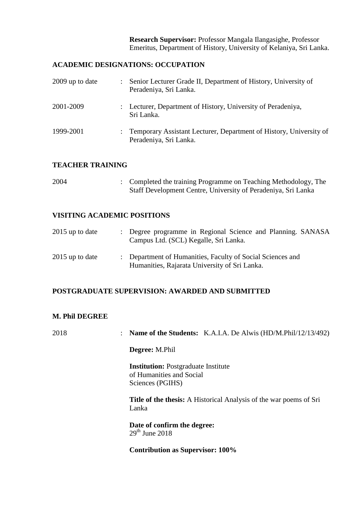**Research Supervisor:** Professor Mangala Ilangasighe, Professor Emeritus, Department of History, University of Kelaniya, Sri Lanka.

## **ACADEMIC DESIGNATIONS: OCCUPATION**

| 2009 up to date | Senior Lecturer Grade II, Department of History, University of<br>Peradeniya, Sri Lanka.     |
|-----------------|----------------------------------------------------------------------------------------------|
| 2001-2009       | : Lecturer, Department of History, University of Peradeniya,<br>Sri Lanka.                   |
| 1999-2001       | Temporary Assistant Lecturer, Department of History, University of<br>Peradeniya, Sri Lanka. |

## **TEACHER TRAINING**

| 2004 | : Completed the training Programme on Teaching Methodology, The |
|------|-----------------------------------------------------------------|
|      | Staff Development Centre, University of Peradeniya, Sri Lanka   |

## **VISITING ACADEMIC POSITIONS**

| $2015$ up to date | : Degree programme in Regional Science and Planning. SANASA<br>Campus Ltd. (SCL) Kegalle, Sri Lanka.        |
|-------------------|-------------------------------------------------------------------------------------------------------------|
| $2015$ up to date | : Department of Humanities, Faculty of Social Sciences and<br>Humanities, Rajarata University of Sri Lanka. |

## **POSTGRADUATE SUPERVISION: AWARDED AND SUBMITTED**

## **M. Phil DEGREE**

| 2018 | <b>Name of the Students:</b> K.A.I.A. De Alwis (HD/M.Phil/12/13/492)                       |
|------|--------------------------------------------------------------------------------------------|
|      | <b>Degree:</b> M.Phil                                                                      |
|      | <b>Institution:</b> Postgraduate Institute<br>of Humanities and Social<br>Sciences (PGIHS) |
|      | <b>Title of the thesis:</b> A Historical Analysis of the war poems of Sri<br>Lanka         |
|      | Date of confirm the degree:<br>$29th$ June 2018                                            |
|      | <b>Contribution as Supervisor: 100%</b>                                                    |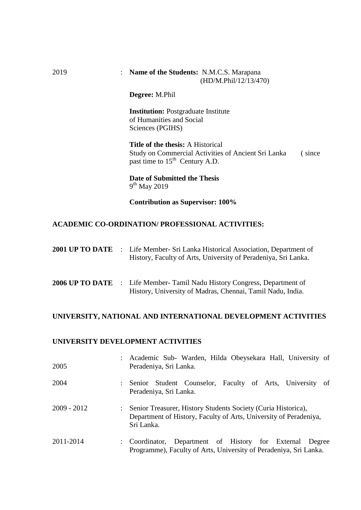#### 2019 : **Name of the Students:** N.M.C.S. Marapana(HD/M.Phil/12/13/470)

**Degree:** M.Phil

**Institution:** Postgraduate Institute of Humanities and Social Sciences (PGIHS)

**Title of the thesis:** A Historical Study on Commercial Activities of Ancient Sri Lanka ( since past time to  $15<sup>th</sup>$  Century A.D.

**Date of Submitted the Thesis** 9<sup>th</sup> May 2019

**Contribution as Supervisor: 100%**

## **ACADEMIC CO-ORDINATION/ PROFESSIONAL ACTIVITIES:**

|  | <b>2001 UP TO DATE</b> : Life Member- Sri Lanka Historical Association, Department of |
|--|---------------------------------------------------------------------------------------|
|  | History, Faculty of Arts, University of Peradeniya, Sri Lanka.                        |

**2006 UP TO DATE** : Life Member- Tamil Nadu History Congress, Department of History, University of Madras, Chennai, Tamil Nadu, India.

#### **UNIVERSITY, NATIONAL AND INTERNATIONAL DEVELOPMENT ACTIVITIES**

## **UNIVERSITY DEVELOPMENT ACTIVITIES**

| 2005          | Academic Sub- Warden, Hilda Obeysekara Hall, University of<br>Peradeniya, Sri Lanka.                                                             |
|---------------|--------------------------------------------------------------------------------------------------------------------------------------------------|
| 2004          | Senior Student Counselor, Faculty of Arts, University of<br>Peradeniya, Sri Lanka.                                                               |
| $2009 - 2012$ | Senior Treasurer, History Students Society (Curia Historica),<br>Department of History, Faculty of Arts, University of Peradeniya,<br>Sri Lanka. |
| 2011-2014     | Coordinator, Department of History for External Degree<br>$\mathcal{L}$<br>Programme), Faculty of Arts, University of Peradeniya, Sri Lanka.     |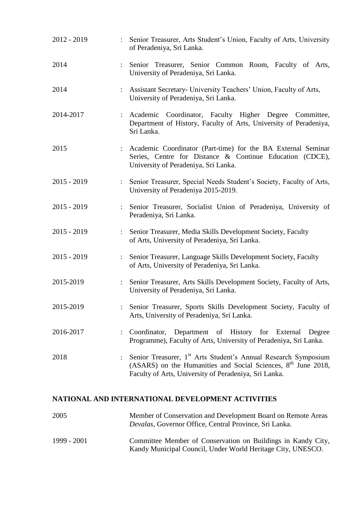| 2012 - 2019   |                      | Senior Treasurer, Arts Student's Union, Faculty of Arts, University<br>of Peradeniya, Sri Lanka.                                                                                                       |
|---------------|----------------------|--------------------------------------------------------------------------------------------------------------------------------------------------------------------------------------------------------|
| 2014          |                      | : Senior Treasurer, Senior Common Room, Faculty of Arts,<br>University of Peradeniya, Sri Lanka.                                                                                                       |
| 2014          | $\ddot{\cdot}$       | Assistant Secretary- University Teachers' Union, Faculty of Arts,<br>University of Peradeniya, Sri Lanka.                                                                                              |
| 2014-2017     | $\ddot{\cdot}$       | Coordinator, Faculty Higher Degree Committee,<br>Academic<br>Department of History, Faculty of Arts, University of Peradeniya,<br>Sri Lanka.                                                           |
| 2015          | $\ddot{\cdot}$       | Academic Coordinator (Part-time) for the BA External Seminar<br>Series, Centre for Distance & Continue Education (CDCE),<br>University of Peradeniya, Sri Lanka.                                       |
| $2015 - 2019$ | $\ddot{\cdot}$       | Senior Treasurer, Special Needs Student's Society, Faculty of Arts,<br>University of Peradeniya 2015-2019.                                                                                             |
| $2015 - 2019$ |                      | Senior Treasurer, Socialist Union of Peradeniya, University of<br>Peradeniya, Sri Lanka.                                                                                                               |
| $2015 - 2019$ | $\ddot{\cdot}$       | Senior Treasurer, Media Skills Development Society, Faculty<br>of Arts, University of Peradeniya, Sri Lanka.                                                                                           |
| $2015 - 2019$ | $\ddot{\cdot}$       | Senior Treasurer, Language Skills Development Society, Faculty<br>of Arts, University of Peradeniya, Sri Lanka.                                                                                        |
| 2015-2019     | $\ddot{\phantom{a}}$ | Senior Treasurer, Arts Skills Development Society, Faculty of Arts,<br>University of Peradeniya, Sri Lanka.                                                                                            |
| 2015-2019     |                      | Senior Treasurer, Sports Skills Development Society, Faculty of<br>Arts, University of Peradeniya, Sri Lanka.                                                                                          |
| 2016-2017     | $\ddot{\cdot}$       | Coordinator,<br>Department of History for External<br>Degree<br>Programme), Faculty of Arts, University of Peradeniya, Sri Lanka.                                                                      |
| 2018          |                      | Senior Treasurer, 1 <sup>st</sup> Arts Student's Annual Research Symposium<br>(ASARS) on the Humanities and Social Sciences, $8th$ June 2018,<br>Faculty of Arts, University of Peradeniya, Sri Lanka. |

## **NATIONAL AND INTERNATIONAL DEVELOPMENT ACTIVITIES**

| 2005        | Member of Conservation and Development Board on Remote Areas<br><i>Devalas, Governor Office, Central Province, Sri Lanka.</i> |
|-------------|-------------------------------------------------------------------------------------------------------------------------------|
| 1999 - 2001 | Committee Member of Conservation on Buildings in Kandy City,<br>Kandy Municipal Council, Under World Heritage City, UNESCO.   |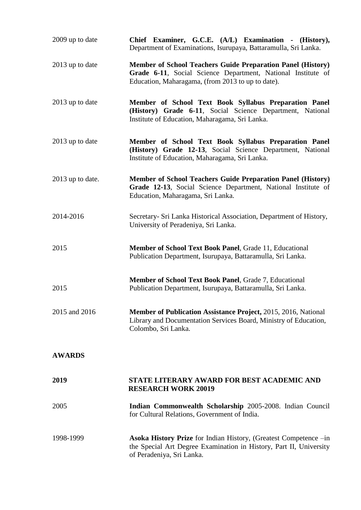| 2009 up to date  | Chief Examiner, G.C.E. (A/L) Examination - (History),<br>Department of Examinations, Isurupaya, Battaramulla, Sri Lanka.                                                         |
|------------------|----------------------------------------------------------------------------------------------------------------------------------------------------------------------------------|
| 2013 up to date  | Member of School Teachers Guide Preparation Panel (History)<br>Grade 6-11, Social Science Department, National Institute of<br>Education, Maharagama, (from 2013 to up to date). |
| 2013 up to date  | Member of School Text Book Syllabus Preparation Panel<br>(History) Grade 6-11, Social Science Department, National<br>Institute of Education, Maharagama, Sri Lanka.             |
| 2013 up to date  | Member of School Text Book Syllabus Preparation Panel<br>(History) Grade 12-13, Social Science Department, National<br>Institute of Education, Maharagama, Sri Lanka.            |
| 2013 up to date. | <b>Member of School Teachers Guide Preparation Panel (History)</b><br>Grade 12-13, Social Science Department, National Institute of<br>Education, Maharagama, Sri Lanka.         |
| 2014-2016        | Secretary- Sri Lanka Historical Association, Department of History,<br>University of Peradeniya, Sri Lanka.                                                                      |
| 2015             | Member of School Text Book Panel, Grade 11, Educational<br>Publication Department, Isurupaya, Battaramulla, Sri Lanka.                                                           |
| 2015             | Member of School Text Book Panel, Grade 7, Educational<br>Publication Department, Isurupaya, Battaramulla, Sri Lanka.                                                            |
| 2015 and 2016    | Member of Publication Assistance Project, 2015, 2016, National<br>Library and Documentation Services Board, Ministry of Education,<br>Colombo, Sri Lanka.                        |
| <b>AWARDS</b>    |                                                                                                                                                                                  |
| 2019             | STATE LITERARY AWARD FOR BEST ACADEMIC AND<br><b>RESEARCH WORK 20019</b>                                                                                                         |
| 2005             | Indian Commonwealth Scholarship 2005-2008. Indian Council<br>for Cultural Relations, Government of India.                                                                        |
| 1998-1999        | Asoka History Prize for Indian History, (Greatest Competence -in<br>the Special Art Degree Examination in History, Part II, University<br>of Peradeniya, Sri Lanka.              |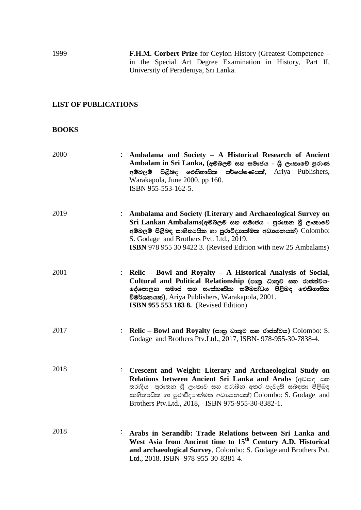1999 **F.H.M. Corbert Prize** for Ceylon History (Greatest Competence – in the Special Art Degree Examination in History, Part II, University of Peradeniya, Sri Lanka.

## **LIST OF PUBLICATIONS**

## **BOOKS**

| 2000 |                      | Ambalama and Society - A Historical Research of Ancient<br>Ambalam in Sri Lanka, (අම්බලම් සහ සමාජය - ශූී ලංකාවේ පුරාණ<br>පිළිබඳ ඓතිහාසික පර්යේෂණයක්, Ariya Publishers,<br>අම්බලම්<br>Warakapola, June 2000, pp 160.<br>ISBN 955-553-162-5.                                                                   |
|------|----------------------|--------------------------------------------------------------------------------------------------------------------------------------------------------------------------------------------------------------------------------------------------------------------------------------------------------------|
| 2019 |                      | : Ambalama and Society (Literary and Archaeological Survey on<br>Sri Lankan Ambalams(අම්බලම සහ සමාජය - පුරාතන ශූී ලංකාවේ<br>අම්බලම් පිළිබඳ සාහිතායික හා පුරාවිදාහත්මක අධායනයක්) Colombo:<br>S. Godage and Brothers Pvt. Ltd., 2019.<br><b>ISBN</b> 978 955 30 9422 3. (Revised Edition with new 25 Ambalams) |
| 2001 |                      | : Relic – Bowl and Royalty – A Historical Analysis of Social,<br>Cultural and Political Relationship (පාතු ධාතුව සහ රාජත්වය-<br>දේශපාලන සමාජ සහ සංස්කෘතික සම්බන්ධය පිළිබඳ ඓතිහාසික<br>විමර්ශනයක්), Ariya Publishers, Warakapola, 2001.<br><b>ISBN 955 553 183 8.</b> (Revised Edition)                       |
| 2017 |                      | : Relic – Bowl and Royalty (පාතු ධාතුව සහ රාජත්වය) Colombo: S.<br>Godage and Brothers Ptv.Ltd., 2017, ISBN- 978-955-30-7838-4.                                                                                                                                                                               |
| 2018 | $\ddot{\phantom{0}}$ | Crescent and Weight: Literary and Archaeological Study on<br>Relations between Ancient Sri Lanka and Arabs (que and<br>තරාදිය- පුරාතන ශී ලංකාව සහ අරාබීන් අතර පැවැති සබඳතා පිළිබඳ<br>සාහිතායික හා පුරාවිදාහත්මක අධායනයක්) Colombo: S. Godage and<br>Brothers Ptv.Ltd., 2018, ISBN 975-955-30-8382-1.         |
| 2018 |                      | Arabs in Serandib: Trade Relations between Sri Lanka and<br>West Asia from Ancient time to 15 <sup>th</sup> Century A.D. Historical<br>and archaeological Survey, Colombo: S. Godage and Brothers Pvt.<br>Ltd., 2018. ISBN- 978-955-30-8381-4.                                                               |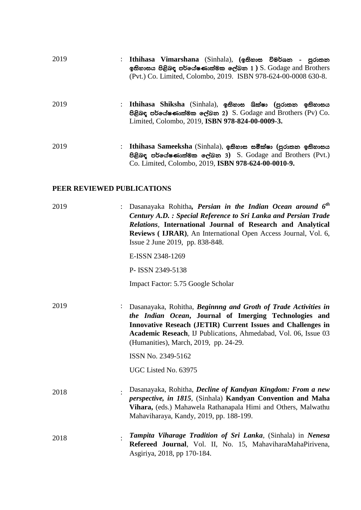| 2019 | Ithihasa Vimarshana (Sinhala), (ඉතිහාස විමර්ශන - පුරාතන<br>ඉතිහාසය පිළිබඳ පර්යේෂණාත්මක ලේඛන $1$ ) S. Godage and Brothers<br>(Pvt.) Co. Limited, Colombo, 2019. ISBN 978-624-00-0008 630-8. |
|------|--------------------------------------------------------------------------------------------------------------------------------------------------------------------------------------------|
| 2019 | : Ithihasa Shiksha (Sinhala), ඉතිහාස ශික්ෂා (පුරාතන ඉතිහාසය<br>පිළිබඳ පර්යේෂණාත්මක ලේඛන 2) $S$ . Godage and Brothers (Pv) $Co$ .<br>Limited, Colombo, 2019, ISBN 978-824-00-0009-3.        |
| 2019 | Ithihasa Sameeksha (Sinhala), ඉතිහාස සමීක්ෂා (පුරාතන ඉතිහාසය<br>පිළිබඳ පර්යේෂණාත්මක ලේඛන 3) S. Godage and Brothers (Pvt.)<br>Co. Limited, Colombo, 2019, ISBN 978-624-00-0010-9.           |

## **PEER REVIEWED PUBLICATIONS**

| 2019 | Dasanayaka Rohitha, <i>Persian in the Indian Ocean around 6<sup>th</sup></i><br>Century A.D. : Special Reference to Sri Lanka and Persian Trade<br>Relations, International Journal of Research and Analytical<br>Reviews ( IJRAR), An International Open Access Journal, Vol. 6,<br>Issue 2 June 2019, pp. 838-848. |
|------|----------------------------------------------------------------------------------------------------------------------------------------------------------------------------------------------------------------------------------------------------------------------------------------------------------------------|
|      | E-ISSN 2348-1269                                                                                                                                                                                                                                                                                                     |
|      | P-ISSN 2349-5138                                                                                                                                                                                                                                                                                                     |
|      | Impact Factor: 5.75 Google Scholar                                                                                                                                                                                                                                                                                   |
| 2019 | Dasanayaka, Rohitha, Beginnng and Groth of Trade Activities in<br>the Indian Ocean, Journal of Imerging Technologies and<br>Innovative Reseach (JETIR) Current Issues and Challenges in<br>Academic Reseach, IJ Publications, Ahmedabad, Vol. 06, Issue 03<br>(Humanities), March, 2019, pp. 24-29.                  |
|      | ISSN No. 2349-5162                                                                                                                                                                                                                                                                                                   |
|      | UGC Listed No. 63975                                                                                                                                                                                                                                                                                                 |
| 2018 | Dasanayaka, Rohitha, Decline of Kandyan Kingdom: From a new<br><i>perspective, in 1815, (Sinhala)</i> Kandyan Convention and Maha<br>Vihara, (eds.) Mahawela Rathanapala Himi and Others, Malwathu<br>Mahaviharaya, Kandy, 2019, pp. 188-199.                                                                        |
| 2018 | Tampita Viharage Tradition of Sri Lanka, (Sinhala) in Nenesa<br>Refereed Journal, Vol. II, No. 15, MahaviharaMahaPirivena,<br>Asgiriya, 2018, pp 170-184.                                                                                                                                                            |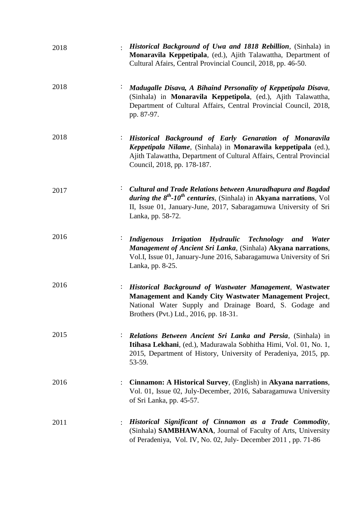| 2018 | Historical Background of Uwa and 1818 Rebillion, (Sinhala) in<br>Monaravila Keppetipala, (ed.), Ajith Talawattha, Department of<br>Cultural Afairs, Central Provincial Council, 2018, pp. 46-50.                                                                                     |
|------|--------------------------------------------------------------------------------------------------------------------------------------------------------------------------------------------------------------------------------------------------------------------------------------|
| 2018 | Madugalle Disava, A Bihaind Personality of Keppetipala Disava,<br>(Sinhala) in Monaravila Keppetipola, (ed.), Ajith Talawattha,<br>Department of Cultural Affairs, Central Provincial Council, 2018,<br>pp. 87-97.                                                                   |
| 2018 | Historical Background of Early Genaration of Monaravila<br>Keppetipala Nilame, (Sinhala) in Monarawila keppetipala (ed.),<br>Ajith Talawattha, Department of Cultural Affairs, Central Provincial<br>Council, 2018, pp. 178-187.                                                     |
| 2017 | Cultural and Trade Relations between Anuradhapura and Bagdad<br>$\ddot{\phantom{0}}$<br><i>during the</i> $8^{th}$ -10 <sup>th</sup> centuries, (Sinhala) in <b>Akyana narrations</b> , Vol<br>II, Issue 01, January-June, 2017, Sabaragamuwa University of Sri<br>Lanka, pp. 58-72. |
| 2016 | Irrigation Hydraulic Technology and<br><i>Indigenous</i><br>Water<br>Management of Ancient Sri Lanka, (Sinhala) Akyana narrations,<br>Vol.I, Issue 01, January-June 2016, Sabaragamuwa University of Sri<br>Lanka, pp. 8-25.                                                         |
| 2016 | Historical Background of Wastwater Management, Wastwater<br>$\ddot{\phantom{a}}$<br>Management and Kandy City Wastwater Management Project,<br>National Water Supply and Drainage Board, S. Godage and<br>Brothers (Pvt.) Ltd., 2016, pp. 18-31.                                     |
| 2015 | <b>Relations Between Ancient Sri Lanka and Persia, (Sinhala) in</b><br>Itihasa Lekhani, (ed.), Madurawala Sobhitha Himi, Vol. 01, No. 1,<br>2015, Department of History, University of Peradeniya, 2015, pp.<br>53-59.                                                               |
| 2016 | Cinnamon: A Historical Survey, (English) in Akyana narrations,<br>Vol. 01, Issue 02, July-December, 2016, Sabaragamuwa University<br>of Sri Lanka, pp. 45-57.                                                                                                                        |
| 2011 | Historical Significant of Cinnamon as a Trade Commodity,<br>(Sinhala) SAMBHAWANA, Journal of Faculty of Arts, University<br>of Peradeniya, Vol. IV, No. 02, July-December 2011, pp. 71-86                                                                                            |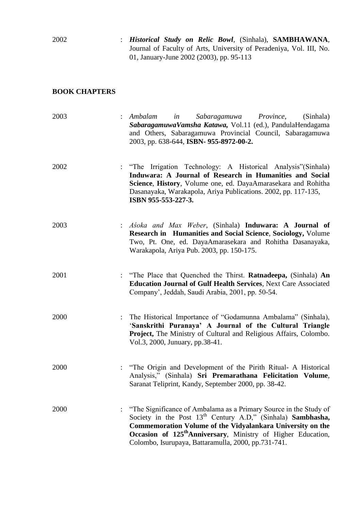2002 : *Historical Study on Relic Bowl*, (Sinhala), **SAMBHAWANA**, Journal of Faculty of Arts, University of Peradeniya, Vol. III, No. 01, January-June 2002 (2003), pp. 95-113

## **BOOK CHAPTERS**

| 2003 | Sabaragamuwa Province,<br>in<br>Ambalam<br>(Sinhala)<br>SabaragamuwaVamsha Katawa, Vol.11 (ed.), PandulaHendagama<br>and Others, Sabaragamuwa Provincial Council, Sabaragamuwa<br>2003, pp. 638-644, ISBN- 955-8972-00-2.                                                                                                                             |
|------|-------------------------------------------------------------------------------------------------------------------------------------------------------------------------------------------------------------------------------------------------------------------------------------------------------------------------------------------------------|
| 2002 | : "The Irrigation Technology: A Historical Analysis" (Sinhala)<br>Induwara: A Journal of Research in Humanities and Social<br>Science, History, Volume one, ed. DayaAmarasekara and Rohitha<br>Dasanayaka, Warakapola, Ariya Publications. 2002, pp. 117-135,<br>ISBN 955-553-227-3.                                                                  |
| 2003 | : Asoka and Max Weber, (Sinhala) <b>Induwara: A Journal of</b><br><b>Research in Humanities and Social Science, Sociology, Volume</b><br>Two, Pt. One, ed. DayaAmarasekara and Rohitha Dasanayaka,<br>Warakapola, Ariya Pub. 2003, pp. 150-175.                                                                                                       |
| 2001 | : "The Place that Quenched the Thirst. <b>Ratnadeepa</b> , (Sinhala) An<br><b>Education Journal of Gulf Health Services, Next Care Associated</b><br>Company', Jeddah, Saudi Arabia, 2001, pp. 50-54.                                                                                                                                                 |
| 2000 | The Historical Importance of "Godamunna Ambalama" (Sinhala),<br>'Sanskrithi Puranaya' A Journal of the Cultural Triangle<br>Project, The Ministry of Cultural and Religious Affairs, Colombo.<br>Vol.3, 2000, Junuary, pp.38-41.                                                                                                                      |
| 2000 | : "The Origin and Development of the Pirith Ritual- A Historical<br>Analysis," (Sinhala) Sri Premarathana Felicitation Volume,<br>Saranat Teliprint, Kandy, September 2000, pp. 38-42.                                                                                                                                                                |
| 2000 | "The Significance of Ambalama as a Primary Source in the Study of<br>Society in the Post 13 <sup>th</sup> Century A.D," (Sinhala) <b>Sambhasha</b> ,<br>Commemoration Volume of the Vidyalankara University on the<br>Occasion of 125 <sup>th</sup> Anniversary, Ministry of Higher Education,<br>Colombo, Isurupaya, Battaramulla, 2000, pp.731-741. |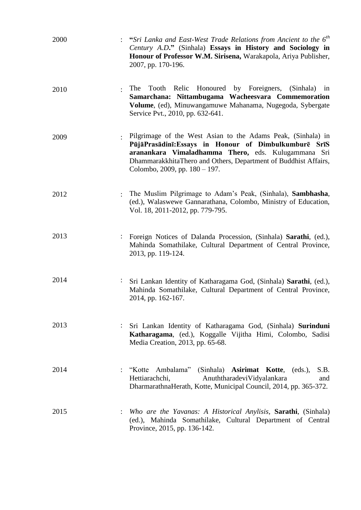| 2000 |                | "Sri Lanka and East-West Trade Relations from Ancient to the 6 <sup>th</sup><br>Century A.D." (Sinhala) Essays in History and Sociology in<br>Honour of Professor W.M. Sirisena, Warakapola, Ariya Publisher,<br>2007, pp. 170-196.                                                 |
|------|----------------|-------------------------------------------------------------------------------------------------------------------------------------------------------------------------------------------------------------------------------------------------------------------------------------|
| 2010 |                | Relic<br>Honoured by Foreigners, (Sinhala) in<br>The<br>Tooth<br>Samarchana: Nittambugama Wacheesvara Commemoration<br>Volume, (ed), Minuwangamuwe Mahanama, Nugegoda, Sybergate<br>Service Pvt., 2010, pp. 632-641.                                                                |
| 2009 |                | Pilgrimage of the West Asian to the Adams Peak, (Sinhala) in<br>PūjāPrasādinī: Essays in Honour of Dimbulkumburē SrīS<br>aranankara Vimaladhamma Thero, eds. Kulugammana Sri<br>DhammarakkhitaThero and Others, Department of Buddhist Affairs,<br>Colombo, 2009, pp. $180 - 197$ . |
| 2012 |                | The Muslim Pilgrimage to Adam's Peak, (Sinhala), Sambhasha,<br>(ed.), Walaswewe Gannarathana, Colombo, Ministry of Education,<br>Vol. 18, 2011-2012, pp. 779-795.                                                                                                                   |
| 2013 |                | Foreign Notices of Dalanda Procession, (Sinhala) Sarathi, (ed.),<br>Mahinda Somathilake, Cultural Department of Central Province,<br>2013, pp. 119-124.                                                                                                                             |
| 2014 | $\ddot{\cdot}$ | Sri Lankan Identity of Katharagama God, (Sinhala) Sarathi, (ed.),<br>Mahinda Somathilake, Cultural Department of Central Province,<br>2014, pp. 162-167.                                                                                                                            |
| 2013 |                | Sri Lankan Identity of Katharagama God, (Sinhala) Surinduni<br>Katharagama, (ed.), Koggalle Vijitha Himi, Colombo, Sadisi<br>Media Creation, 2013, pp. 65-68.                                                                                                                       |
| 2014 |                | : "Kotte Ambalama" (Sinhala) <b>Asirimat Kotte</b> , (eds.),<br>S.B.<br>Hettiarachchi,<br>AnuththaradeviVidyalankara<br>and<br>DharmarathnaHerath, Kotte, Municipal Council, 2014, pp. 365-372.                                                                                     |
| 2015 |                | Who are the Yavanas: A Historical Anylisis, <b>Sarathi</b> , (Sinhala)<br>(ed.), Mahinda Somathilake, Cultural Department of Central<br>Province, 2015, pp. 136-142.                                                                                                                |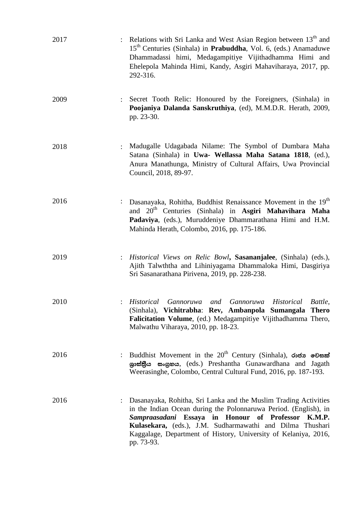| 2017 |                | Relations with Sri Lanka and West Asian Region between 13 <sup>th</sup> and<br>15 <sup>th</sup> Centuries (Sinhala) in <b>Prabuddha</b> , Vol. 6, (eds.) Anamaduwe<br>Dhammadassi himi, Medagampitiye Vijithadhamma Himi and<br>Ehelepola Mahinda Himi, Kandy, Asgiri Mahaviharaya, 2017, pp.<br>292-316.                                          |
|------|----------------|----------------------------------------------------------------------------------------------------------------------------------------------------------------------------------------------------------------------------------------------------------------------------------------------------------------------------------------------------|
| 2009 |                | Secret Tooth Relic: Honoured by the Foreigners, (Sinhala) in<br>Poojaniya Dalanda Sanskruthiya, (ed), M.M.D.R. Herath, 2009,<br>pp. 23-30.                                                                                                                                                                                                         |
| 2018 | $\ddot{\cdot}$ | Madugalle Udagabada Nilame: The Symbol of Dumbara Maha<br>Satana (Sinhala) in Uwa- Wellassa Maha Satana 1818, (ed.),<br>Anura Manathunga, Ministry of Cultural Affairs, Uwa Provincial<br>Council, 2018, 89-97.                                                                                                                                    |
| 2016 |                | Dasanayaka, Rohitha, Buddhist Renaissance Movement in the 19 <sup>th</sup><br>and 20 <sup>th</sup> Centuries (Sinhala) in Asgiri Mahavihara Maha<br>Padaviya, (eds.), Muruddeniye Dhammarathana Himi and H.M.<br>Mahinda Herath, Colombo, 2016, pp. 175-186.                                                                                       |
| 2019 |                | Historical Views on Relic Bowl, Sasananjalee, (Sinhala) (eds.),<br>Ajith Talwththa and Lihiniyagama Dhammaloka Himi, Dasgiriya<br>Sri Sasanarathana Pirivena, 2019, pp. 228-238.                                                                                                                                                                   |
| 2010 |                | Historical<br><b>Gannoruwa</b><br>Historical<br>and<br><i>Gannoruwa</i><br>Battle,<br>(Sinhala), Vichitrabha: Rev, Ambanpola Sumangala Thero<br>Falicitation Volume, (ed.) Medagampitiye Vijithadhamma Thero,<br>Malwathu Viharaya, 2010, pp. 18-23.                                                                                               |
| 2016 |                | Buddhist Movement in the $20^{th}$ Century (Sinhala), $\omega \approx \infty$ election<br>ශුාස්තිය සංගුහය, (eds.) Preshantha Gunawardhana and Jagath<br>Weerasinghe, Colombo, Central Cultural Fund, 2016, pp. 187-193.                                                                                                                            |
| 2016 |                | Dasanayaka, Rohitha, Sri Lanka and the Muslim Trading Activities<br>in the Indian Ocean during the Polonnaruwa Period. (English), in<br>Sampraasadani Essaya in Honour of Professor<br><b>K.M.P.</b><br>Kulasekara, (eds.), J.M. Sudharmawathi and Dilma Thushari<br>Kaggalage, Department of History, University of Kelaniya, 2016,<br>pp. 73-93. |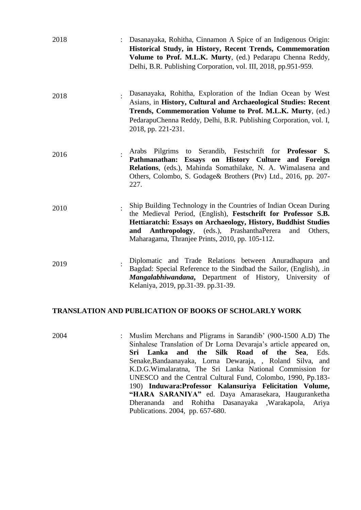| 2018 | Dasanayaka, Rohitha, Cinnamon A Spice of an Indigenous Origin:<br>Historical Study, in History, Recent Trends, Commemoration<br>Volume to Prof. M.L.K. Murty, (ed.) Pedarapu Chenna Reddy,<br>Delhi, B.R. Publishing Corporation, vol. III, 2018, pp.951-959.                                                                     |
|------|-----------------------------------------------------------------------------------------------------------------------------------------------------------------------------------------------------------------------------------------------------------------------------------------------------------------------------------|
| 2018 | Dasanayaka, Rohitha, Exploration of the Indian Ocean by West<br>Asians, in History, Cultural and Archaeological Studies: Recent<br>Trends, Commemoration Volume to Prof. M.L.K. Murty, (ed.)<br>PedarapuChenna Reddy, Delhi, B.R. Publishing Corporation, vol. I,<br>2018, pp. 221-231.                                           |
| 2016 | Arabs Pilgrims to Serandib, Festschrift for <b>Professor S.</b><br>Pathmanathan: Essays on History Culture and Foreign<br>Relations, (eds.), Mahinda Somathilake, N. A. Wimalasena and<br>Others, Colombo, S. Godage& Brothers (Ptv) Ltd., 2016, pp. 207-<br>227.                                                                 |
| 2010 | Ship Building Technology in the Countries of Indian Ocean During<br>the Medieval Period, (English), Festschrift for Professor S.B.<br>Hettiaratchi: Essays on Archaeology, History, Buddhist Studies<br><b>Anthropology,</b> (eds.), PrashanthaPerera<br>and<br>and<br>Others,<br>Maharagama, Thranjee Prints, 2010, pp. 105-112. |
| 2019 | Diplomatic and Trade Relations between Anuradhapura and<br>Bagdad: Special Reference to the Sindbad the Sailor, (English), .in<br>Mangalabhiwandana, Department of History, University of<br>Kelaniya, 2019, pp.31-39. pp.31-39.                                                                                                  |

#### **TRANSLATION AND PUBLICATION OF BOOKS OF SCHOLARLY WORK**

2004 : Muslim Merchans and Pligrams in Sarandib" (900-1500 A.D) The Sinhalese Translation of Dr Lorna Devaraja"s article appeared on, **Sri Lanka and the Silk Road of the Sea**, Eds. Senake,Bandaanayaka, Lorna Dewaraja, , Roland Silva, and K.D.G.Wimalaratna, The Sri Lanka National Commission for UNESCO and the Central Cultural Fund, Colombo, 1990, Pp.183- 190) **Induwara:Professor Kalansuriya Felicitation Volume, "HARA SARANIYA"** ed. Daya Amarasekara, Hauguranketha Dherananda and Rohitha Dasanayaka ,Warakapola, Ariya Publications. 2004, pp. 657-680.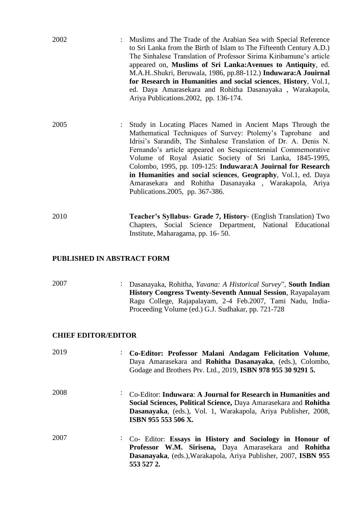| 2002                              | : Muslims and The Trade of the Arabian Sea with Special Reference<br>to Sri Lanka from the Birth of Islam to The Fifteenth Century A.D.)<br>The Sinhalese Translation of Professor Sirima Kiribamune's article<br>appeared on, Muslims of Sri Lanka: Avenues to Antiquity, ed.<br>M.A.HShukri, Beruwala, 1986, pp.88-112.) Induwara:A Jouirnal<br>for Research in Humanities and social sciences, History, Vol.1,<br>ed. Daya Amarasekara and Rohitha Dasanayaka, Warakapola,<br>Ariya Publications. 2002, pp. 136-174.                               |
|-----------------------------------|-------------------------------------------------------------------------------------------------------------------------------------------------------------------------------------------------------------------------------------------------------------------------------------------------------------------------------------------------------------------------------------------------------------------------------------------------------------------------------------------------------------------------------------------------------|
| 2005<br>$\mathbb{R}^{\mathbb{Z}}$ | Study in Locating Places Named in Ancient Maps Through the<br>Mathematical Techniques of Survey: Ptolemy's Taprobane and<br>Idrisi's Sarandib, The Sinhalese Translation of Dr. A. Denis N.<br>Fernando's article appeared on Sesquicentennial Commemorative<br>Volume of Royal Asiatic Society of Sri Lanka, 1845-1995,<br>Colombo, 1995, pp. 109-125: Induwara:A Jouirnal for Research<br>in Humanities and social sciences, Geography, Vol.1, ed. Daya<br>Amarasekara and Rohitha Dasanayaka, Warakapola, Ariya<br>Publications.2005, pp. 367-386. |
| 2010                              | Teacher's Syllabus- Grade 7, History- (English Translation) Two<br>Chapters, Social Science Department, National Educational                                                                                                                                                                                                                                                                                                                                                                                                                          |

Institute, Maharagama, pp. 16- 50.

## **PUBLISHED IN ABSTRACT FORM**

| 2007                       | Dasanayaka, Rohitha, <i>Yavana: A Historical Survey</i> ", <b>South Indian</b><br><b>History Congress Twenty-Seventh Annual Session, Rayapalayam</b><br>Ragu College, Rajapalayam, 2-4 Feb.2007, Tami Nadu, India-<br>Proceeding Volume (ed.) G.J. Sudhakar, pp. 721-728 |
|----------------------------|--------------------------------------------------------------------------------------------------------------------------------------------------------------------------------------------------------------------------------------------------------------------------|
| <b>CHIEF EDITOR/EDITOR</b> |                                                                                                                                                                                                                                                                          |
| 2019                       | Co-Editor: Professor Malani Andagam Felicitation Volume,<br>Daya Amarasekara and <b>Rohitha Dasanayaka</b> , (eds.), Colombo,<br>Godage and Brothers Ptv. Ltd., 2019, ISBN 978 955 30 9291 5.                                                                            |
| 2008                       | Co-Editor: Induwara: A Journal for Research in Humanities and<br>Social Sciences, Political Science, Daya Amarasekara and Rohitha<br>Dasanayaka, (eds.), Vol. 1, Warakapola, Ariya Publisher, 2008,<br>ISBN 955 553 506 X.                                               |
| 2007                       | Co- Editor: Essays in History and Sociology in Honour of<br>Professor W.M. Sirisena, Daya Amarasekara and Rohitha<br>Dasanayaka, (eds.), Warakapola, Ariya Publisher, 2007, ISBN 955<br>553 527 2.                                                                       |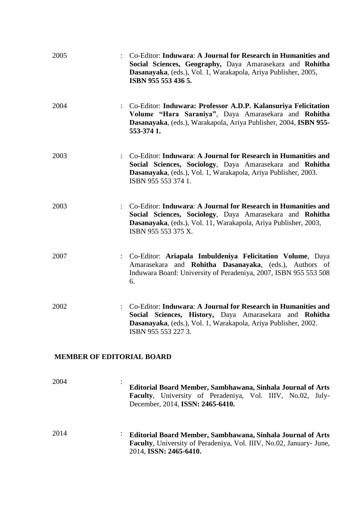| 2005 | Co-Editor: Induwara: A Journal for Research in Humanities and<br>Social Sciences, Geography, Daya Amarasekara and Rohitha<br>Dasanayaka, (eds.), Vol. 1, Warakapola, Ariya Publisher, 2005,<br>ISBN 955 553 436 5.                    |
|------|---------------------------------------------------------------------------------------------------------------------------------------------------------------------------------------------------------------------------------------|
| 2004 | : Co-Editor: Induwara: Professor A.D.P. Kalansuriya Felicitation<br>Volume "Hara Saraniya", Daya Amarasekara and Rohitha<br>Dasanayaka, (eds.), Warakapola, Ariya Publisher, 2004, ISBN 955-<br>553-374 1.                            |
| 2003 | Co-Editor: Induwara: A Journal for Research in Humanities and<br>$\ddot{\cdot}$<br>Social Sciences, Sociology, Daya Amarasekara and Rohitha<br>Dasanayaka, (eds.), Vol. 1, Warakapola, Ariya Publisher, 2003.<br>ISBN 955 553 374 1.  |
| 2003 | Co-Editor: Induwara: A Journal for Research in Humanities and<br>$\ddot{\cdot}$<br>Social Sciences, Sociology, Daya Amarasekara and Rohitha<br>Dasanayaka, (eds.), Vol. 11, Warakapola, Ariya Publisher, 2003,<br>ISBN 955 553 375 X. |
| 2007 | : Co-Editor: Ariapala Imbuldeniya Felicitation Volume, Daya<br>Amarasekara and <b>Rohitha Dasanayaka</b> , (eds.), Authors of<br>Induwara Board: University of Peradeniya, 2007, ISBN 955 553 508<br>6.                               |
| 2002 | Co-Editor: Induwara: A Journal for Research in Humanities and<br>Social Sciences, History, Daya Amarasekara<br>and <b>Rohitha</b><br>Dasanayaka, (eds.), Vol. 1, Warakapola, Ariya Publisher, 2002.<br>ISBN 955 553 227 3.            |
|      | <b>MEMBER OF EDITORIAL BOARD</b>                                                                                                                                                                                                      |
| 2004 | Editorial Board Member, Sambhawana, Sinhala Journal of Arts                                                                                                                                                                           |

- **Faculty**, University of Peradeniya, Vol. IIIV, No.02, July-December, 2014, **ISSN: 2465-6410.**
- 2014 : **Editorial Board Member, Sambhawana, Sinhala Journal of Arts Faculty**, University of Peradeniya, Vol. IIIV, No.02, January- June, 2014, **ISSN: 2465-6410.**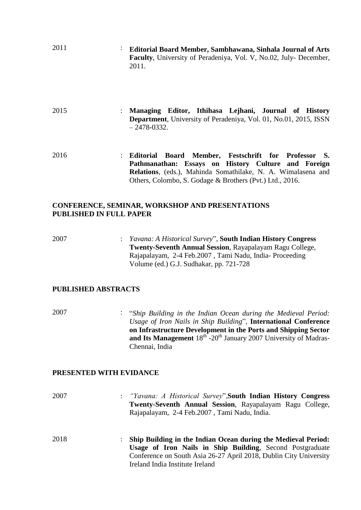- 2011 : **Editorial Board Member, Sambhawana, Sinhala Journal of Arts Faculty**, University of Peradeniya, Vol. V, No.02, July- December, 2011.
- 2015 : **Managing Editor, Ithihasa Lejhani, Journal of History Department**, University of Peradeniya, Vol. 01, No.01, 2015, ISSN – 2478-0332.
- 2016 : **Editorial Board Member, Festschrift for Professor S. Pathmanathan: Essays on History Culture and Foreign Relations**, (eds.), Mahinda Somathilake, N. A. Wimalasena and Others, Colombo, S. Godage & Brothers (Pvt.) Ltd., 2016.

#### **CONFERENCE, SEMINAR, WORKSHOP AND PRESENTATIONS PUBLISHED IN FULL PAPER**

2007 : *Yavana: A Historical Survey*", **South Indian History Congress Twenty-Seventh Annual Session**, Rayapalayam Ragu College, Rajapalayam, 2-4 Feb.2007 , Tami Nadu, India- Proceeding Volume (ed.) G.J. Sudhakar, pp. 721-728

## **PUBLISHED ABSTRACTS**

2007 : "*Ship Building in the Indian Ocean during the Medieval Period: Usage of Iron Nails in Ship Building*", **International Conference on Infrastructure Development in the Ports and Shipping Sector**  and Its Management 18<sup>th</sup> -20<sup>th</sup> January 2007 University of Madras-Chennai, India

#### **PRESENTED WITH EVIDANCE**

- 2007 : *"Yavana: A Historical Survey*",**South Indian History Congress Twenty-Seventh Annual Session**, Rayapalayam Ragu College, Rajapalayam, 2-4 Feb.2007 , Tami Nadu, India.
- 2018 : **Ship Building in the Indian Ocean during the Medieval Period: Usage of Iron Nails in Ship Building**, Second Postgraduate Conference on South Asia 26-27 April 2018, Dublin City University Ireland India Institute Ireland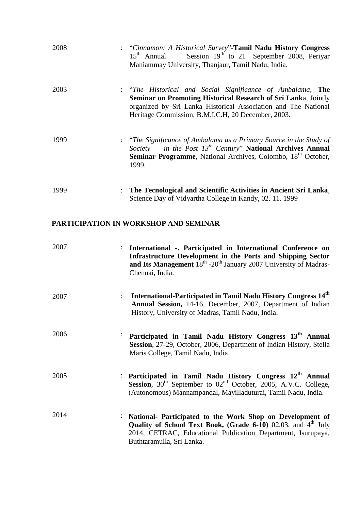| 2008 |                | : "Cinnamon: A Historical Survey"-Tamil Nadu History Congress<br>Session $19th$ to $21st$ September 2008, Periyar<br>$15th$ Annual<br>Maniammay University, Thanjaur, Tamil Nadu, India.                                                             |
|------|----------------|------------------------------------------------------------------------------------------------------------------------------------------------------------------------------------------------------------------------------------------------------|
| 2003 |                | : "The Historical and Social Significance of Ambalama, The<br>Seminar on Promoting Historical Research of Sri Lanka, Jointly<br>organized by Sri Lanka Historical Association and The National<br>Heritage Commission, B.M.I.C.H, 20 December, 2003. |
| 1999 |                | : "The Significance of Ambalama as a Primary Source in the Study of<br>Society in the Post $13^{th}$ Century" National Archives Annual<br><b>Seminar Programme</b> , National Archives, Colombo, 18 <sup>th</sup> October,<br>1999.                  |
| 1999 | $\ddot{\cdot}$ | The Tecnological and Scientific Activities in Ancient Sri Lanka,<br>Science Day of Vidyartha College in Kandy, 02. 11. 1999                                                                                                                          |

## **PARTICIPATION IN WORKSHOP AND SEMINAR**

| 2007 | : International - Participated in International Conference on<br>Infrastructure Development in the Ports and Shipping Sector<br>and Its Management $18th - 20th$ January 2007 University of Madras-<br>Chennai, India.    |
|------|---------------------------------------------------------------------------------------------------------------------------------------------------------------------------------------------------------------------------|
| 2007 | International-Participated in Tamil Nadu History Congress 14 <sup>th</sup><br>Annual Session, 14-16, December, 2007, Department of Indian<br>History, University of Madras, Tamil Nadu, India.                            |
| 2006 | Participated in Tamil Nadu History Congress 13 <sup>th</sup> Annual<br>Session, 27-29, October, 2006, Department of Indian History, Stella<br>Maris College, Tamil Nadu, India.                                           |
| 2005 | : Participated in Tamil Nadu History Congress $12th$ Annual<br><b>Session</b> , $30^{th}$ September to $02^{nd}$ October, 2005, A.V.C. College,<br>(Autonomous) Mannampandal, Mayilladuturai, Tamil Nadu, India.          |
| 2014 | National- Participated to the Work Shop on Development of<br>Quality of School Text Book, (Grade 6-10) 02,03, and $4th$ July<br>2014, CETRAC, Educational Publication Department, Isurupaya,<br>Buthtaramulla, Sri Lanka. |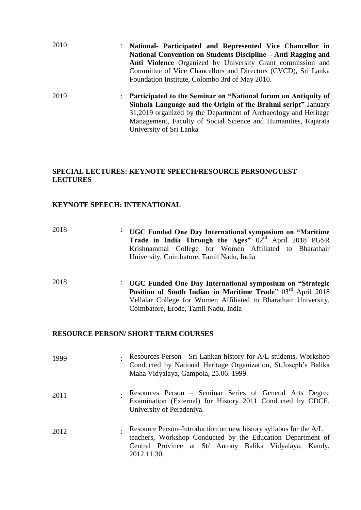| 2010 | National- Participated and Represented Vice Chancellor in<br>$\ddot{\cdot}$            |
|------|----------------------------------------------------------------------------------------|
|      | National Convention on Students Discipline – Anti Ragging and                          |
|      | Anti Violence Organized by University Grant commission and                             |
|      | Committee of Vice Chancellors and Directors (CVCD), Sri Lanka                          |
|      | Foundation Institute, Colombo 3rd of May 2010.                                         |
| 2019 | Participated to the Seminar on "National forum on Antiquity of<br>$\ddot{\phantom{a}}$ |
|      | Sinhala Language and the Origin of the Brahmi script" January                          |
|      | 31,2019 organized by the Department of Archaeology and Heritage                        |
|      | Management, Faculty of Social Science and Humanities, Rajarata                         |
|      | University of Sri Lanka                                                                |

## **SPECIAL LECTURES: KEYNOTE SPEECH/RESOURCE PERSON/GUEST LECTURES**

## **KEYNOTE SPEECH: INTENATIONAL**

| 2018 | UGC Funded One Day International symposium on "Maritime"<br>$\bullet$ .<br>Trade in India Through the Ages" $02rd$ April 2018 PGSR<br>Krishnammal College for Women Affiliated to Bharathair<br>University, Coimbatore, Tamil Nadu, India                  |
|------|------------------------------------------------------------------------------------------------------------------------------------------------------------------------------------------------------------------------------------------------------------|
| 2018 | UGC Funded One Day International symposium on "Strategic<br>$\ddot{\phantom{0}}$<br>Position of South Indian in Maritime Trade" 03rd April 2018<br>Vellalar College for Women Affiliated to Bharathair University,<br>Coimbatore, Erode, Tamil Nadu, India |

## **RESOURCE PERSON/ SHORT TERM COURSES**

| 1999 | Resources Person - Sri Lankan history for A/L students, Workshop<br>Conducted by National Heritage Organization, St.Joseph's Balika<br>Maha Vidyalaya, Gampola, 25.06. 1999.                              |
|------|-----------------------------------------------------------------------------------------------------------------------------------------------------------------------------------------------------------|
| 2011 | Resources Person – Seminar Series of General Arts Degree<br>Examination (External) for History 2011 Conducted by CDCE,<br>University of Peradeniya.                                                       |
| 2012 | Resource Person-Introduction on new history syllabus for the A/L<br>teachers, Workshop Conducted by the Education Department of<br>Central Province at St/ Antony Balika Vidyalaya, Kandy,<br>2012.11.30. |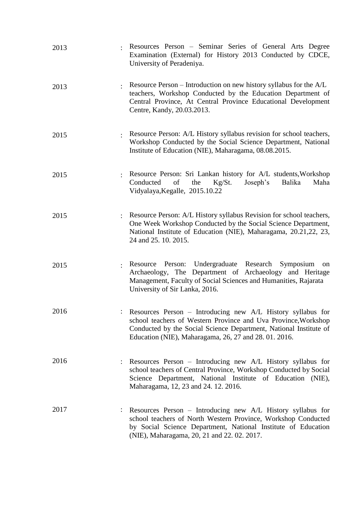| 2013 |                | Resources Person – Seminar Series of General Arts Degree<br>Examination (External) for History 2013 Conducted by CDCE,<br>University of Peradeniya.                                                                                                         |
|------|----------------|-------------------------------------------------------------------------------------------------------------------------------------------------------------------------------------------------------------------------------------------------------------|
| 2013 |                | Resource Person – Introduction on new history syllabus for the A/L<br>teachers, Workshop Conducted by the Education Department of<br>Central Province, At Central Province Educational Development<br>Centre, Kandy, 20.03.2013.                            |
| 2015 |                | Resource Person: A/L History syllabus revision for school teachers,<br>Workshop Conducted by the Social Science Department, National<br>Institute of Education (NIE), Maharagama, 08.08.2015.                                                               |
| 2015 |                | Resource Person: Sri Lankan history for A/L students, Workshop<br>Conducted<br>of<br>Joseph's<br>Balika<br>Maha<br>the<br>Kg/St.<br>Vidyalaya, Kegalle, 2015.10.22                                                                                          |
| 2015 | $\ddot{\cdot}$ | Resource Person: A/L History syllabus Revision for school teachers,<br>One Week Workshop Conducted by the Social Science Department,<br>National Institute of Education (NIE), Maharagama, 20.21,22, 23,<br>24 and 25. 10. 2015.                            |
| 2015 |                | Resource Person: Undergraduate Research Symposium<br>on<br>Archaeology, The Department of Archaeology and Heritage<br>Management, Faculty of Social Sciences and Humanities, Rajarata<br>University of Sir Lanka, 2016.                                     |
| 2016 |                | Resources Person - Introducing new A/L History syllabus for<br>school teachers of Western Province and Uva Province, Workshop<br>Conducted by the Social Science Department, National Institute of<br>Education (NIE), Maharagama, 26, 27 and 28. 01. 2016. |
| 2016 |                | Resources Person – Introducing new A/L History syllabus for<br>school teachers of Central Province, Workshop Conducted by Social<br>Science Department, National Institute of Education (NIE),<br>Maharagama, 12, 23 and 24. 12. 2016.                      |
| 2017 |                | Resources Person - Introducing new A/L History syllabus for<br>school teachers of North Western Province, Workshop Conducted<br>by Social Science Department, National Institute of Education<br>(NIE), Maharagama, 20, 21 and 22. 02. 2017.                |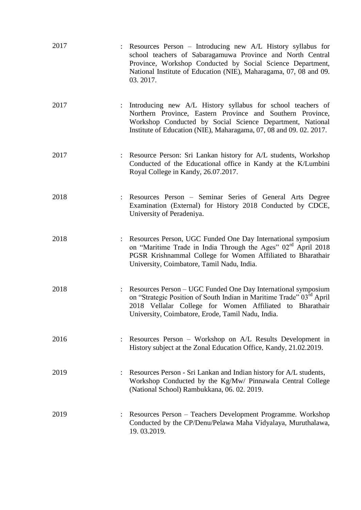| 2017                   | Resources Person – Introducing new A/L History syllabus for<br>school teachers of Sabaragamuwa Province and North Central<br>Province, Workshop Conducted by Social Science Department,<br>National Institute of Education (NIE), Maharagama, 07, 08 and 09.<br>03.2017. |
|------------------------|--------------------------------------------------------------------------------------------------------------------------------------------------------------------------------------------------------------------------------------------------------------------------|
| 2017<br>$\ddot{\cdot}$ | Introducing new A/L History syllabus for school teachers of<br>Northern Province, Eastern Province and Southern Province,<br>Workshop Conducted by Social Science Department, National<br>Institute of Education (NIE), Maharagama, 07, 08 and 09. 02. 2017.             |
| 2017                   | : Resource Person: Sri Lankan history for A/L students, Workshop<br>Conducted of the Educational office in Kandy at the K/Lumbini<br>Royal College in Kandy, 26.07.2017.                                                                                                 |
| 2018                   | : Resources Person – Seminar Series of General Arts Degree<br>Examination (External) for History 2018 Conducted by CDCE,<br>University of Peradeniya.                                                                                                                    |
| 2018                   | : Resources Person, UGC Funded One Day International symposium<br>on "Maritime Trade in India Through the Ages" 02 <sup>rd</sup> April 2018<br>PGSR Krishnammal College for Women Affiliated to Bharathair<br>University, Coimbatore, Tamil Nadu, India.                 |
| 2018                   | : Resources Person – UGC Funded One Day International symposium<br>on "Strategic Position of South Indian in Maritime Trade" 03 <sup>rd</sup> April<br>2018 Vellalar College for Women Affiliated to Bharathair<br>University, Coimbatore, Erode, Tamil Nadu, India.     |
| 2016                   | Resources Person – Workshop on A/L Results Development in<br>History subject at the Zonal Education Office, Kandy, 21.02.2019.                                                                                                                                           |
| 2019                   | Resources Person - Sri Lankan and Indian history for A/L students,<br>Workshop Conducted by the Kg/Mw/ Pinnawala Central College<br>(National School) Rambukkana, 06. 02. 2019.                                                                                          |
| 2019                   | Resources Person - Teachers Development Programme. Workshop<br>Conducted by the CP/Denu/Pelawa Maha Vidyalaya, Muruthalawa,<br>19.03.2019.                                                                                                                               |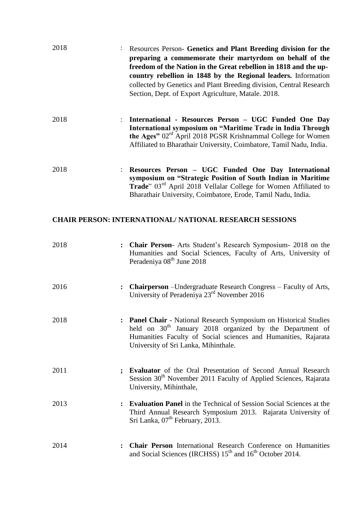| 2018 |                | Resources Person- Genetics and Plant Breeding division for the<br>preparing a commemorate their martyrdom on behalf of the<br>freedom of the Nation in the Great rebellion in 1818 and the up-<br>country rebellion in 1848 by the Regional leaders. Information<br>collected by Genetics and Plant Breeding division, Central Research<br>Section, Dept. of Export Agriculture, Matale. 2018. |
|------|----------------|------------------------------------------------------------------------------------------------------------------------------------------------------------------------------------------------------------------------------------------------------------------------------------------------------------------------------------------------------------------------------------------------|
| 2018 | $\mathbf{L}$   | International - Resources Person - UGC Funded One Day<br>International symposium on "Maritime Trade in India Through<br>the Ages" 02 <sup>rd</sup> April 2018 PGSR Krishnammal College for Women<br>Affiliated to Bharathair University, Coimbatore, Tamil Nadu, India.                                                                                                                        |
| 2018 |                | Resources Person - UGC Funded One Day International<br>symposium on "Strategic Position of South Indian in Maritime<br>Trade" 03 <sup>rd</sup> April 2018 Vellalar College for Women Affiliated to<br>Bharathair University, Coimbatore, Erode, Tamil Nadu, India.                                                                                                                             |
|      |                | <b>CHAIR PERSON: INTERNATIONAL/ NATIONAL RESEARCH SESSIONS</b>                                                                                                                                                                                                                                                                                                                                 |
| 2018 |                | : Chair Person- Arts Student's Research Symposium- 2018 on the<br>Humanities and Social Sciences, Faculty of Arts, University of<br>Peradeniya 08 <sup>th</sup> June 2018                                                                                                                                                                                                                      |
| 2016 | $\ddot{\cdot}$ | <b>Chairperson</b> – Undergraduate Research Congress – Faculty of Arts,<br>University of Peradeniya 23 <sup>rd</sup> November 2016                                                                                                                                                                                                                                                             |
| 2018 |                | Panel Chair - National Research Symposium on Historical Studies<br>held on 30 <sup>th</sup> January 2018 organized by the Department of<br>Humanities Faculty of Social sciences and Humanities, Rajarata<br>University of Sri Lanka, Mihinthale.                                                                                                                                              |
| 2011 |                | Evaluator of the Oral Presentation of Second Annual Research<br>Session 30 <sup>th</sup> November 2011 Faculty of Applied Sciences, Rajarata<br>University, Mihinthale,                                                                                                                                                                                                                        |
| 2013 |                | <b>Evaluation Panel</b> in the Technical of Session Social Sciences at the<br>Third Annual Research Symposium 2013. Rajarata University of<br>Sri Lanka, 07 <sup>th</sup> February, 2013.                                                                                                                                                                                                      |
| 2014 | $\ddot{\cdot}$ | Chair Person International Research Conference on Humanities<br>and Social Sciences (IRCHSS) 15 <sup>th</sup> and 16 <sup>th</sup> October 2014.                                                                                                                                                                                                                                               |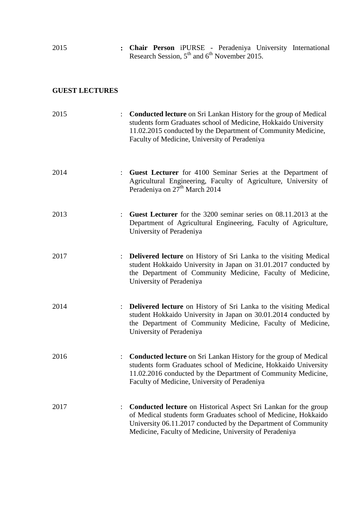| 2015 |  |  |                                                  | : Chair Person iPURSE - Peradeniya University International |
|------|--|--|--------------------------------------------------|-------------------------------------------------------------|
|      |  |  | Research Session, $5th$ and $6th$ November 2015. |                                                             |

## **GUEST LECTURES**

| 2015 |                      | <b>Conducted lecture</b> on Sri Lankan History for the group of Medical<br>students form Graduates school of Medicine, Hokkaido University<br>11.02.2015 conducted by the Department of Community Medicine,<br>Faculty of Medicine, University of Peradeniya           |
|------|----------------------|------------------------------------------------------------------------------------------------------------------------------------------------------------------------------------------------------------------------------------------------------------------------|
| 2014 |                      | <b>Guest Lecturer</b> for 4100 Seminar Series at the Department of<br>Agricultural Engineering, Faculty of Agriculture, University of<br>Peradeniya on 27 <sup>th</sup> March 2014                                                                                     |
| 2013 |                      | <b>Guest Lecturer</b> for the 3200 seminar series on 08.11.2013 at the<br>Department of Agricultural Engineering, Faculty of Agriculture,<br>University of Peradeniya                                                                                                  |
| 2017 |                      | Delivered lecture on History of Sri Lanka to the visiting Medical<br>student Hokkaido University in Japan on 31.01.2017 conducted by<br>the Department of Community Medicine, Faculty of Medicine,<br>University of Peradeniya                                         |
| 2014 |                      | <b>Delivered lecture</b> on History of Sri Lanka to the visiting Medical<br>student Hokkaido University in Japan on 30.01.2014 conducted by<br>the Department of Community Medicine, Faculty of Medicine,<br>University of Peradeniya                                  |
| 2016 | $\ddot{\phantom{a}}$ | <b>Conducted lecture</b> on Sri Lankan History for the group of Medical<br>students form Graduates school of Medicine, Hokkaido University<br>11.02.2016 conducted by the Department of Community Medicine,<br>Faculty of Medicine, University of Peradeniya           |
| 2017 |                      | <b>Conducted lecture</b> on Historical Aspect Sri Lankan for the group<br>of Medical students form Graduates school of Medicine, Hokkaido<br>University 06.11.2017 conducted by the Department of Community<br>Medicine, Faculty of Medicine, University of Peradeniya |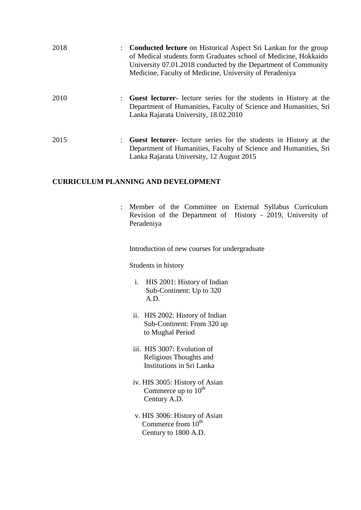| 2018 | <b>Conducted lecture</b> on Historical Aspect Sri Lankan for the group<br>of Medical students form Graduates school of Medicine, Hokkaido<br>University 07.01.2018 conducted by the Department of Community<br>Medicine, Faculty of Medicine, University of Peradeniya |
|------|------------------------------------------------------------------------------------------------------------------------------------------------------------------------------------------------------------------------------------------------------------------------|
| 2010 | Guest lecturer- lecture series for the students in History at the<br>Department of Humanities, Faculty of Science and Humanities, Sri<br>Lanka Rajarata University, 18.02.2010                                                                                         |
| 2015 | Guest lecturer- lecture series for the students in History at the<br>Department of Humanities, Faculty of Science and Humanities, Sri<br>Lanka Rajarata University, 12 August 2015                                                                                     |

### **CURRICULUM PLANNING AND DEVELOPMENT**

: Member of the Committee on External Syllabus Curriculum Revision of the Department of History - 2019, University of Peradeniya

Introduction of new courses for undergraduate

Students in history

- i. HIS 2001: History of Indian Sub-Continent: Up to 320 A.D.
- ii. HIS 2002: History of Indian Sub-Continent: From 320 up to Mughal Period
- iii. HIS 3007: Evolution of Religious Thoughts and Institutions in Sri Lanka
- iv. HIS 3005: History of Asian Commerce up to  $10^{th}$ Century A.D.
- v. HIS 3006: History of Asian Commerce from  $10^{th}$ Century to 1800 A.D.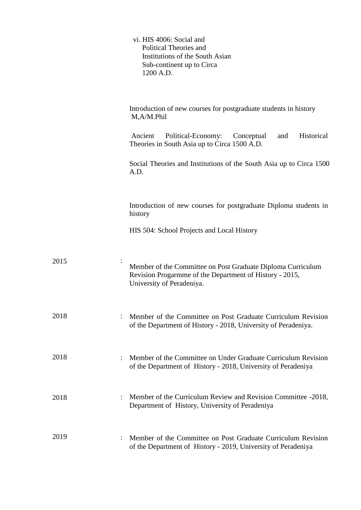|      | vi. HIS 4006: Social and<br>Political Theories and<br>Institutions of the South Asian<br>Sub-continent up to Circa<br>1200 A.D.                     |
|------|-----------------------------------------------------------------------------------------------------------------------------------------------------|
|      | Introduction of new courses for postgraduate students in history<br>M,A/M.Phil                                                                      |
|      | Historical<br>Political-Economy:<br>Ancient<br>and<br>Conceptual<br>Theories in South Asia up to Circa 1500 A.D.                                    |
|      | Social Theories and Institutions of the South Asia up to Circa 1500<br>A.D.                                                                         |
|      | Introduction of new courses for postgraduate Diploma students in<br>history                                                                         |
|      | HIS 504: School Projects and Local History                                                                                                          |
| 2015 | Member of the Committee on Post Graduate Diploma Curriculum<br>Revision Progarmme of the Department of History - 2015,<br>University of Peradeniya. |
| 2018 | Member of the Committee on Post Graduate Curriculum Revision<br>of the Department of History - 2018, University of Peradeniya.                      |
| 2018 | Member of the Committee on Under Graduate Curriculum Revision<br>of the Department of History - 2018, University of Peradeniya                      |
| 2018 | Member of the Curriculum Review and Revision Committee -2018,<br>$\ddot{\phantom{0}}$<br>Department of History, University of Peradeniya            |
| 2019 | Member of the Committee on Post Graduate Curriculum Revision<br>of the Department of History - 2019, University of Peradeniya                       |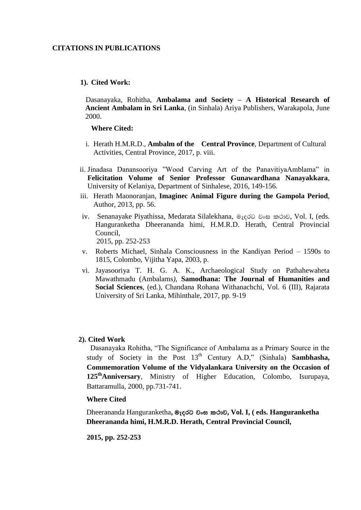#### **CITATIONS IN PUBLICATIONS**

#### **1). Cited Work:**

 Dasanayaka, Rohitha, **Ambalama and Society – A Historical Research of Ancient Ambalam in Sri Lanka**, (in Sinhala) Ariya Publishers, Warakapola, June 2000.

#### **Where Cited:**

- i. Herath H.M.R.D., **Ambalm of the Central Province**, Department of Cultural Activities, Central Province, 2017, p. viii.
- ii. Jinadasa Danansooriya "Wood Carving Art of the PanavitiyaAmblama" in **Felicitation Volume of Senior Professor Gunawardhana Nanayakkara**, University of Kelaniya, Department of Sinhalese, 2016, 149-156.
- iii. Herath Maonoranjan, **Imaginec Animal Figure during the Gampola Period**, Author, 2013, pp. 56.
- iv. Senanayake Piyathissa, Medarata Silalekhana, මැදුරට වංස කථාව, Vol. I, (eds. Hanguranketha Dheerananda himi, H.M.R.D. Herath, Central Provincial Council, 2015, pp. 252-253

- v. Roberts Michael, Sinhala Consciousness in the Kandiyan Period 1590s to 1815, Colombo, Vijitha Yapa, 2003, p.
- vi. Jayasooriya T. H. G. A. K., Archaeological Study on Pathahewaheta Mawathmadu (Ambalams*),* **Samodhana: The Journal of Humanities and Social Sciences**, (ed.), Chandana Rohana Withanachchi, Vol. 6 (III), Rajarata University of Sri Lanka, Mihinthale, 2017, pp. 9-19

#### **2). Cited Work**

Dasanayaka Rohitha, "The Significance of Ambalama as a Primary Source in the study of Society in the Post 13<sup>th</sup> Century A.D," (Sinhala) **Sambhasha, Commemoration Volume of the Vidyalankara University on the Occasion of 125thAnniversary**, Ministry of Higher Education, Colombo, Isurupaya, Battaramulla, 2000, pp.731-741.

#### **Where Cited**

Dheerananda Hanguranketha, මැදුරට වංස කථාව, Vol. I, ( eds. Hanguranketha **Dheerananda himi, H.M.R.D. Herath, Central Provincial Council,**

 **2015, pp. 252-253**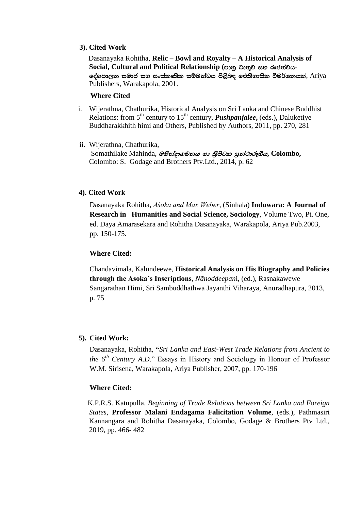#### **3). Cited Work**

 Dasanayaka Rohitha, **Relic – Bowl and Royalty – A Historical Analysis of**   $Social, Cultural and Political Relationship$  (පාතු ධාතුව සහ රාජත්වය-ලද්ශපාලන සමාජ සහ සංස්කෘතික සම්බන්ධය පිළිබඳ ඓතිහාසික විමර්ශනයක්, Ariya Publishers, Warakapola, 2001.

#### **Where Cited**

- i. Wijerathna, Chathurika, Historical Analysis on Sri Lanka and Chinese Buddhist Relations: from 5<sup>th</sup> century to 15<sup>th</sup> century, *Pushpanjalee*, (eds.), Daluketiye Buddharakkhith himi and Others, Published by Authors, 2011, pp. 270, 281
- ii. Wijerathna, Chathurika, Somathilake Mahinda, @*Bන්දාගමනය හා නිපිටක ගුන්ථාරූභීය*, Colombo, Colombo: S. Godage and Brothers Ptv.Ltd., 2014, p. 62

### **4). Cited Work**

Dasanayaka Rohitha, *Aśoka and Max Weber*, (Sinhala) **Induwara: A Journal of Research in Humanities and Social Science, Sociology**, Volume Two, Pt. One, ed. Daya Amarasekara and Rohitha Dasanayaka, Warakapola, Ariya Pub.2003, pp. 150-175.

#### **Where Cited:**

Chandavimala, Kalundeewe, **Historical Analysis on His Biography and Policies through the Asoka's Inscriptions**, *Nãnoddeepan*i, (ed.), Rasnakawewe Sangarathan Himi, Sri Sambuddhathwa Jayanthi Viharaya, Anuradhapura, 2013, p. 75

### **5). Cited Work:**

Dasanayaka, Rohitha, **"***Sri Lanka and East-West Trade Relations from Ancient to the 6th Century A.D*." Essays in History and Sociology in Honour of Professor W.M. Sirisena, Warakapola, Ariya Publisher, 2007, pp. 170-196

#### **Where Cited:**

 K.P.R.S. Katupulla. *Beginning of Trade Relations between Sri Lanka and Foreign States*, **Professor Malani Endagama Falicitation Volume**, (eds.), Pathmasiri Kannangara and Rohitha Dasanayaka, Colombo, Godage & Brothers Ptv Ltd., 2019, pp. 466- 482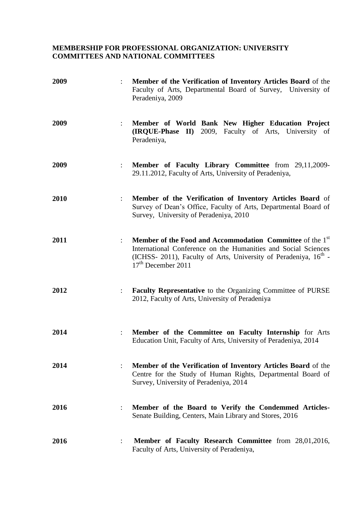## **MEMBERSHIP FOR PROFESSIONAL ORGANIZATION: UNIVERSITY COMMITTEES AND NATIONAL COMMITTEES**

| 2009 |                      | Member of the Verification of Inventory Articles Board of the<br>Faculty of Arts, Departmental Board of Survey, University of<br>Peradeniya, 2009                                                                                               |
|------|----------------------|-------------------------------------------------------------------------------------------------------------------------------------------------------------------------------------------------------------------------------------------------|
| 2009 | $\ddot{\cdot}$       | Member of World Bank New Higher Education Project<br>(IRQUE-Phase II) 2009, Faculty of Arts, University of<br>Peradeniya,                                                                                                                       |
| 2009 | $\ddot{\cdot}$       | Member of Faculty Library Committee from 29,11,2009-<br>29.11.2012, Faculty of Arts, University of Peradeniya,                                                                                                                                  |
| 2010 |                      | Member of the Verification of Inventory Articles Board of<br>Survey of Dean's Office, Faculty of Arts, Departmental Board of<br>Survey, University of Peradeniya, 2010                                                                          |
| 2011 | $\ddot{\cdot}$       | Member of the Food and Accommodation Committee of the 1 <sup>st</sup><br>International Conference on the Humanities and Social Sciences<br>(ICHSS- 2011), Faculty of Arts, University of Peradeniya, 16 <sup>th</sup> -<br>$17th$ December 2011 |
| 2012 | $\ddot{\cdot}$       | <b>Faculty Representative</b> to the Organizing Committee of PURSE<br>2012, Faculty of Arts, University of Peradeniya                                                                                                                           |
| 2014 | $\ddot{\cdot}$       | Member of the Committee on Faculty Internship for Arts<br>Education Unit, Faculty of Arts, University of Peradeniya, 2014                                                                                                                       |
| 2014 | $\ddot{\cdot}$       | Member of the Verification of Inventory Articles Board of the<br>Centre for the Study of Human Rights, Departmental Board of<br>Survey, University of Peradeniya, 2014                                                                          |
| 2016 | $\ddot{\phantom{a}}$ | Member of the Board to Verify the Condemmed Articles-<br>Senate Building, Centers, Main Library and Stores, 2016                                                                                                                                |
| 2016 |                      | Member of Faculty Research Committee from 28,01,2016,<br>Faculty of Arts, University of Peradeniya,                                                                                                                                             |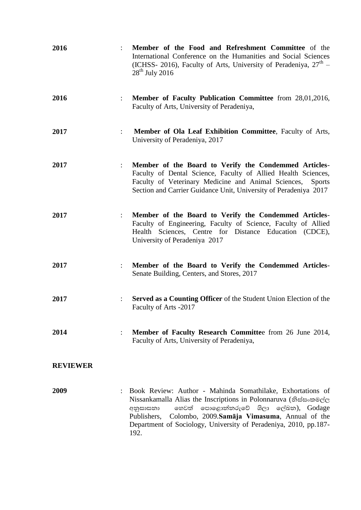| 2016            | Member of the Food and Refreshment Committee of the<br>International Conference on the Humanities and Social Sciences<br>(ICHSS- 2016), Faculty of Arts, University of Peradeniya, $27^{\text{th}}$ –<br>$28th$ July 2016                                                                                                     |
|-----------------|-------------------------------------------------------------------------------------------------------------------------------------------------------------------------------------------------------------------------------------------------------------------------------------------------------------------------------|
| 2016            | Member of Faculty Publication Committee from 28,01,2016,<br>$\ddot{\cdot}$<br>Faculty of Arts, University of Peradeniya,                                                                                                                                                                                                      |
| 2017            | Member of Ola Leaf Exhibition Committee, Faculty of Arts,<br>$\ddot{\cdot}$<br>University of Peradeniya, 2017                                                                                                                                                                                                                 |
| 2017            | Member of the Board to Verify the Condemmed Articles-<br>$\ddot{\cdot}$<br>Faculty of Dental Science, Faculty of Allied Health Sciences,<br>Faculty of Veterinary Medicine and Animal Sciences,<br><b>Sports</b><br>Section and Carrier Guidance Unit, University of Peradeniya 2017                                          |
| 2017            | Member of the Board to Verify the Condemmed Articles-<br>Faculty of Engineering, Faculty of Science, Faculty of Allied<br>Health Sciences, Centre for Distance Education (CDCE),<br>University of Peradeniya 2017                                                                                                             |
| 2017            | Member of the Board to Verify the Condemmed Articles-<br>Senate Building, Centers, and Stores, 2017                                                                                                                                                                                                                           |
| 2017            | <b>Served as a Counting Officer</b> of the Student Union Election of the<br>Faculty of Arts -2017                                                                                                                                                                                                                             |
| 2014            | Member of Faculty Research Committee from 26 June 2014,<br>Faculty of Arts, University of Peradeniya,                                                                                                                                                                                                                         |
| <b>REVIEWER</b> |                                                                                                                                                                                                                                                                                                                               |
| 2009            | Book Review: Author - Mahinda Somathilake, Exhortations of<br>Nissankamalla Alias the Inscriptions in Polonnaruva (නිස්සංකමල්ල<br>හෙවත් පොළොන්තරුවේ ශිලා ලේඛන), Godage<br>අනුසාසනා<br>Colombo, 2009.Samāja Vimasuma, Annual of the<br>Publishers,<br>Department of Sociology, University of Peradeniya, 2010, pp.187-<br>192. |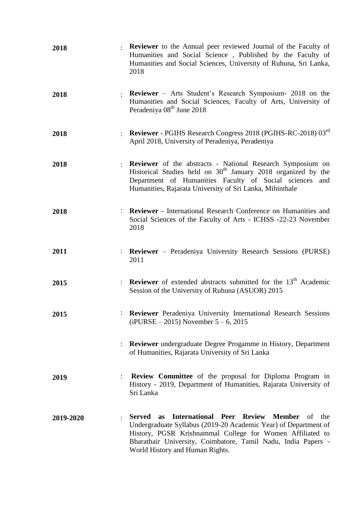| 2018      |                | Reviewer to the Annual peer reviewed Journal of the Faculty of<br>Humanities and Social Science, Published by the Faculty of<br>Humanities and Social Sciences, University of Ruhuna, Sri Lanka,<br>2018                                                                                                  |  |  |
|-----------|----------------|-----------------------------------------------------------------------------------------------------------------------------------------------------------------------------------------------------------------------------------------------------------------------------------------------------------|--|--|
| 2018      |                | <b>Reviewer</b> – Arts Student's Research Symposium- 2018 on the<br>Humanities and Social Sciences, Faculty of Arts, University of<br>Peradeniya 08 <sup>th</sup> June 2018                                                                                                                               |  |  |
| 2018      |                | Reviewer - PGIHS Research Congress 2018 (PGIHS-RC-2018) 03rd<br>April 2018, University of Peradeniya, Peradeniya                                                                                                                                                                                          |  |  |
| 2018      |                | Reviewer of the abstracts - National Research Symposium on<br>Historical Studies held on 30 <sup>th</sup> January 2018 organized by the<br>Department of Humanities Faculty of Social sciences and<br>Humanities, Rajarata University of Sri Lanka, Mihinthale                                            |  |  |
| 2018      |                | : Reviewer - International Research Conference on Humanities and<br>Social Sciences of the Faculty of Arts - ICHSS -22-23 November<br>2018                                                                                                                                                                |  |  |
| 2011      |                | : Reviewer – Peradeniya University Research Sessions (PURSE)<br>2011                                                                                                                                                                                                                                      |  |  |
| 2015      |                | Reviewer of extended abstracts submitted for the 13 <sup>th</sup> Academic<br>Session of the University of Ruhuna (ASUOR) 2015                                                                                                                                                                            |  |  |
| 2015      |                | <b>Reviewer</b> Peradeniya University International Research Sessions<br>$(iPURSE - 2015)$ November 5 – 6, 2015                                                                                                                                                                                           |  |  |
|           |                | <b>Reviewer</b> undergraduate Degree Progamme in History, Department<br>of Humanities, Rajarata University of Sri Lanka                                                                                                                                                                                   |  |  |
| 2019      | $\ddot{\cdot}$ | <b>Review Committee</b> of the proposal for Diploma Program in<br>History - 2019, Department of Humanities, Rajarata University of<br>Sri Lanka                                                                                                                                                           |  |  |
| 2019-2020 |                | International Peer Review Member of the<br><b>Served</b><br><b>as</b><br>Undergraduate Syllabus (2019-20 Academic Year) of Department of<br>History, PGSR Krishnammal College for Women Affiliated to<br>Bharathair University, Coimbatore, Tamil Nadu, India Papers -<br>World History and Human Rights. |  |  |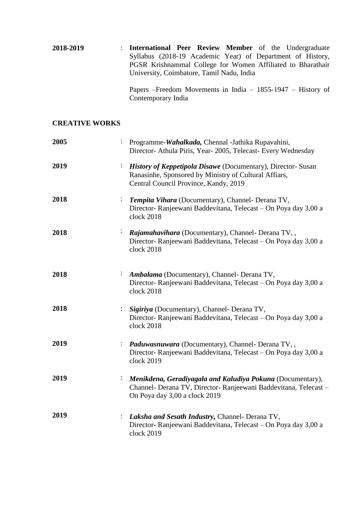| 2018-2019 | : International Peer Review Member of the Undergraduate     |
|-----------|-------------------------------------------------------------|
|           | Syllabus (2018-19 Academic Year) of Department of History,  |
|           | PGSR Krishnammal College for Women Affiliated to Bharathair |
|           | University, Coimbatore, Tamil Nadu, India                   |
|           |                                                             |

Papers –Freedom Movements in India – 1855-1947 – History of Contemporary India

## **CREATIVE WORKS**

| 2005 | Programme-Wahalkada, Chennal -Jathika Rupavahini,<br>Director- Athula Piris, Year- 2005, Telecast- Every Wednesday                                                    |
|------|-----------------------------------------------------------------------------------------------------------------------------------------------------------------------|
| 2019 | <b>History of Keppetipola Disawe</b> (Documentary), Director-Susan<br>Ranasinhe, Sponsored by Ministry of Cultural Affiars,<br>Central Council Province, Kandy, 2019  |
| 2018 | Tempita Vihara (Documentary), Channel- Derana TV,<br>Director-Ranjeewani Baddevitana, Telecast - On Poya day 3,00 a<br>clock 2018                                     |
| 2018 | Rajamahavihara (Documentary), Channel- Derana TV,,<br>Director-Ranjeewani Baddevitana, Telecast - On Poya day 3,00 a<br>clock 2018                                    |
| 2018 | Ambalama (Documentary), Channel- Derana TV,<br>Director- Ranjeewani Baddevitana, Telecast – On Poya day 3,00 a<br>clock 2018                                          |
| 2018 | Sigiriya (Documentary), Channel- Derana TV,<br>Director- Ranjeewani Baddevitana, Telecast - On Poya day 3,00 a<br>clock 2018                                          |
| 2019 | Paduwasnuwara (Documentary), Channel- Derana TV,,<br>$\ddot{\cdot}$<br>Director-Ranjeewani Baddevitana, Telecast - On Poya day 3,00 a<br>clock 2019                   |
| 2019 | Menikdena, Geradiyagala and Kaludiya Pokuna (Documentary),<br>÷,<br>Channel- Derana TV, Director- Ranjeewani Baddevitana, Telecast -<br>On Poya day 3,00 a clock 2019 |
| 2019 | Laksha and Sesath Industry, Channel- Derana TV,<br>Director- Ranjeewani Baddevitana, Telecast – On Poya day 3,00 a<br>clock 2019                                      |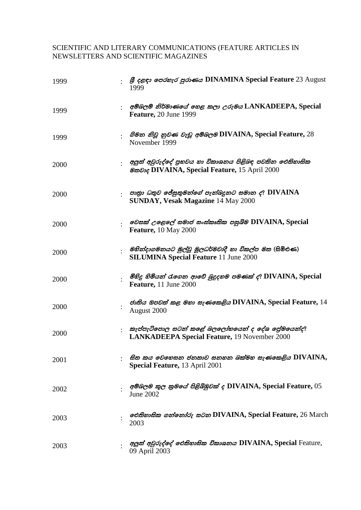## SCIENTIFIC AND LITERARY COMMUNICATIONS (FEATURE ARTICLES IN NEWSLETTERS AND SCIENTIFIC MAGAZINES

| 1999 | <b>β</b> cecs or <i>cores</i> govers <b>DINAMINA</b> Special Feature 23 August<br>1999                                 |
|------|------------------------------------------------------------------------------------------------------------------------|
| 1999 | අම්බලම් නිර්මාණයේ හෙළ කලා උරුමය LANKADEEPA, Special<br>Feature, 20 June 1999                                           |
| 1999 | හිමන නිවූ නුවණ වැඩූ අම්බලම DIVAINA, Special Feature, 28<br>November 1999                                               |
| 2000 | අලුත් අවුරුද්දේ පුභවය හා විකාශනය පිළිබඳ පවතින ඓතිහාසික<br><b>@</b> <i>zdoc</i> DIVAINA, Special Feature, 15 April 2000 |
| 2000 | පාතා ධතුව ජේසුතුමන්ගේ පැන්බදූනට සමාන ද? DIVAINA<br><b>SUNDAY, Vesak Magazine 14 May 2000</b>                           |
| 2000 | වෙසක් උළෙලේ සමාජ සංස්කෘතික පසුබිම DIVAINA, Special<br><b>Feature, 10 May 2000</b>                                      |
| 2000 | <i>ු මහින්දාගමනයට මුල්වූ මූලධර්මවාදී හා විකල්ප මත</i> (සිමිඑණ)<br><b>SILUMINA Special Feature 11 June 2000</b>         |
| 2000 | මිහිදු හිමියන් රැගෙන ආවේ බුදුදහම පමණක් ද? DIVAINA, Special<br>Feature, 11 June 2000                                    |
| 2000 | ජාතිය ඔපවත් කළ මහා සැණකෙළිය DIVAINA, Special Feature, 14<br>August 2000                                                |
| 2000 | කැප්පැටිපොල සටන් කළේ බලලෝභයෙන් ද දේශ ළේමයෙන්ද?<br>LANKADEEPA Special Feature, 19 November 2000                         |
| 2001 | සිත කය වෙහෙසන ජනතාව සනහන බක්මහ සැණකෙළිය DIVAINA,<br>Special Feature, 13 April 2001                                     |
| 2002 | අම්බලම කුල කුමයේ පිළිබිඹුවක් ද DIVAINA, Special Feature, 05<br>June 2002                                               |
| 2003 | <i>වෙතිහාසික ගන්නෝරු සටන</i> DIVAINA, Special Feature, 26 March<br>2003                                                |
| 2003 | අලුත් අවුරුද්දේ ඓතිහාසික විකාශනය DIVAINA, Special Feature,<br>09 April 2003                                            |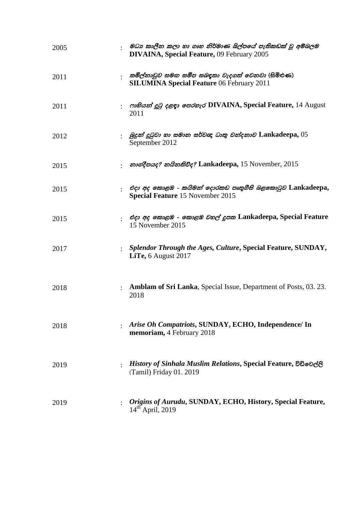| 2005 | මධා කාලීන කලා හා ගෘහ නිර්මාණ ශිල්පයේ පැතිකඩක් වූ අම්බලම<br><b>DIVAINA, Special Feature, 09 February 2005</b> |
|------|--------------------------------------------------------------------------------------------------------------|
| 2011 | තමිල්නාඩුව සමඟ සමීප සබඳතා වැදගත් වෙනවා (සිමිඑණ)<br><b>SILUMINA Special Feature 06 February 2011</b>          |
| 2011 | mBass co ceco order DIVAINA, Special Feature, 14 August<br>2011                                              |
| 2012 | බුදුන් දුටුවා හා සමාන සර්වඥ ධාතු වන්දනාව Lankadeepa, $05$<br>September 2012                                  |
| 2015 | නාගදීපයද? නයිනතිව්ද? Lankadeepa, 15 November, 2015                                                           |
| 2015 | එදා අද කොළඹ - කයිමන් දොරකඩ පෘතුගීසි බළකොටුව Lankadeepa,<br><b>Special Feature 15 November 2015</b>           |
| 2015 | එදා අද කොළඹ - කොළඹ වහල් දූපත Lankadeepa, Special Feature<br>15 November 2015                                 |
| 2017 | Splendor Through the Ages, Culture, Special Feature, SUNDAY,<br>LiTe, 6 August 2017                          |
| 2018 | <b>Amblam of Sri Lanka, Special Issue, Department of Posts, 03. 23.</b><br>2018                              |
| 2018 | Arise Oh Compatriots, SUNDAY, ECHO, Independence/ In<br>memoriam, 4 February 2018                            |
| 2019 | History of Sinhala Muslim Relations, Special Feature, විඩිවෙල්ලි<br>(Tamil) Friday 01. 2019                  |
| 2019 | Origins of Aurudu, SUNDAY, ECHO, History, Special Feature,<br>$14th$ April, 2019                             |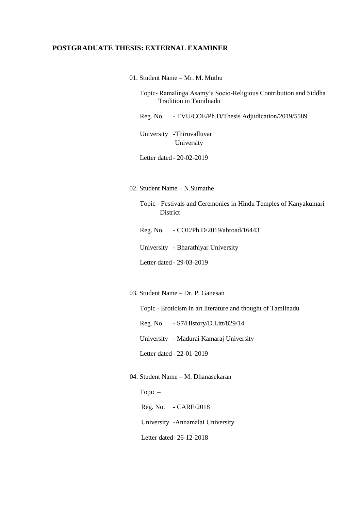## **POSTGRADUATE THESIS: EXTERNAL EXAMINER**

01. Student Name – Mr. M. Muthu

Topic- Ramalinga Asamy"s Socio-Religious Contribution and Siddha Tradition in Tamilnadu

Reg. No. - TVU/COE/Ph.D/Thesis Adjudication/2019/5589

University -Thiruvalluvar University

Letter dated - 20-02-2019

02. Student Name – N.Sumathe

Topic - Festivals and Ceremonies in Hindu Temples of Kanyakumari **District** 

Reg. No. - COE/Ph.D/2019/abroad/16443

University - Bharathiyar University

Letter dated - 29-03-2019

03. Student Name – Dr. P. Ganesan

Topic - Eroticism in art literature and thought of Tamilnadu

Reg. No. - S7/History/D.Litt/829/14

University - Madurai Kamaraj University

Letter dated - 22-01-2019

#### 04. Student Name – M. Dhanasekaran

Topic – Reg. No. - CARE/2018 University -Annamalai University Letter dated- 26-12-2018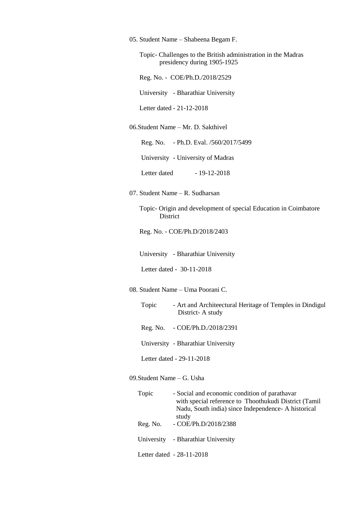|  |  |  | 05. Student Name - Shabeena Begam F. |  |  |
|--|--|--|--------------------------------------|--|--|
|--|--|--|--------------------------------------|--|--|

 Topic- Challenges to the British administration in the Madras presidency during 1905-1925

Reg. No. - COE/Ph.D./2018/2529

University - Bharathiar University

Letter dated - 21-12-2018

#### 06.Student Name – Mr. D. Sakthivel

Reg. No. - Ph.D. Eval. /560/2017/5499

University - University of Madras

Letter dated - 19-12-2018

07. Student Name – R. Sudharsan

 Topic- Origin and development of special Education in Coimbatore District

Reg. No. - COE/Ph.D/2018/2403

University - Bharathiar University

Letter dated - 30-11-2018

08. Student Name – Uma Poorani C.

 Topic - Art and Architeectural Heritage of Temples in Dindigul District- A study

- Reg. No. COE/Ph.D./2018/2391
- University Bharathiar University

Letter dated - 29-11-2018

09.Student Name – G. Usha

 Topic - Social and economic condition of parathavar with special reference to Thoothukudi District (Tamil Nadu, South india) since Independence- A historical study Reg. No. - COE/Ph.D/2018/2388 University - Bharathiar University Letter dated - 28-11-2018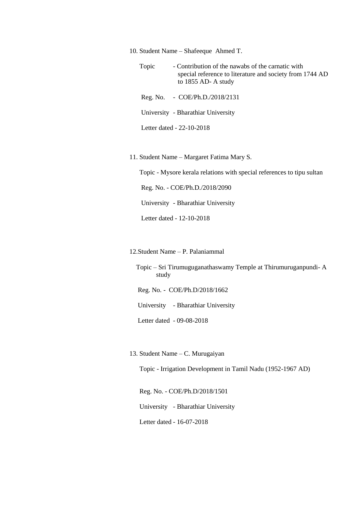10. Student Name – Shafeeque Ahmed T.

 Topic - Contribution of the nawabs of the carnatic with special reference to literature and society from 1744 AD to 1855 AD- A study

Reg. No. - COE/Ph.D./2018/2131

University - Bharathiar University

Letter dated - 22-10-2018

11. Student Name – Margaret Fatima Mary S.

Topic - Mysore kerala relations with special references to tipu sultan

Reg. No. - COE/Ph.D./2018/2090

University - Bharathiar University

Letter dated - 12-10-2018

12.Student Name – P. Palaniammal

 Topic – Sri Tirumuguganathaswamy Temple at Thirumuruganpundi- A study

Reg. No. - COE/Ph.D/2018/1662

University - Bharathiar University

Letter dated - 09-08-2018

13. Student Name – C. Murugaiyan

Topic - Irrigation Development in Tamil Nadu (1952-1967 AD)

 Reg. No. - COE/Ph.D/2018/1501 University - Bharathiar University Letter dated - 16-07-2018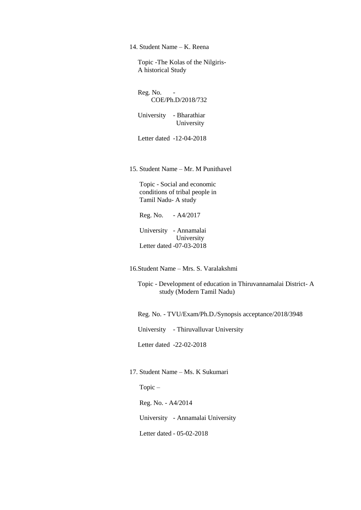14. Student Name – K. Reena

 Topic -The Kolas of the Nilgiris- A historical Study

Reg. No. -COE/Ph.D/2018/732

 University - Bharathiar University

Letter dated -12-04-2018

15. Student Name – Mr. M Punithavel

 Topic - Social and economic conditions of tribal people in Tamil Nadu- A study

Reg. No. - A4/2017

 University - Annamalai University Letter dated -07-03-2018

16.Student Name – Mrs. S. Varalakshmi

 Topic - Development of education in Thiruvannamalai District- A study (Modern Tamil Nadu)

Reg. No. - TVU/Exam/Ph.D./Synopsis acceptance/2018/3948

University - Thiruvalluvar University

Letter dated -22-02-2018

17. Student Name – Ms. K Sukumari

Topic –

Reg. No. - A4/2014

University - Annamalai University

Letter dated - 05-02-2018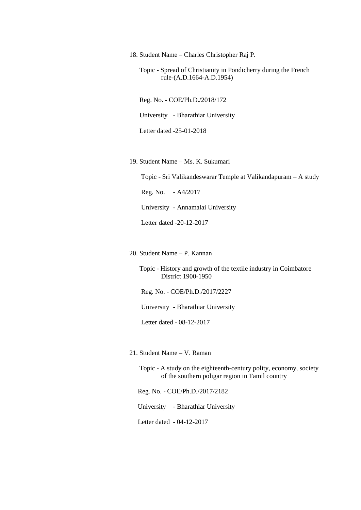18. Student Name – Charles Christopher Raj P.

 Topic - Spread of Christianity in Pondicherry during the French rule-(A.D.1664-A.D.1954)

 Reg. No. - COE/Ph.D./2018/172 University - Bharathiar University Letter dated -25-01-2018

19. Student Name – Ms. K. Sukumari

Topic - Sri Valikandeswarar Temple at Valikandapuram – A study

Reg. No. - A4/2017

University - Annamalai University

Letter dated -20-12-2017

20. Student Name – P. Kannan

 Topic - History and growth of the textile industry in Coimbatore District 1900-1950

Reg. No. - COE/Ph.D./2017/2227

University - Bharathiar University

Letter dated - 08-12-2017

- 21. Student Name V. Raman
	- Topic A study on the eighteenth-century polity, economy, society of the southern poligar region in Tamil country

Reg. No. - COE/Ph.D./2017/2182

University - Bharathiar University

Letter dated - 04-12-2017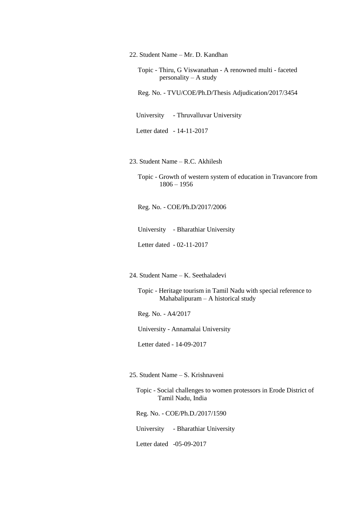22. Student Name – Mr. D. Kandhan

 Topic - Thiru, G Viswanathan - A renowned multi - faceted personality – A study

Reg. No. - TVU/COE/Ph.D/Thesis Adjudication/2017/3454

University - Thruvalluvar University

Letter dated - 14-11-2017

23. Student Name – R.C. Akhilesh

 Topic - Growth of western system of education in Travancore from 1806 – 1956

Reg. No. - COE/Ph.D/2017/2006

University - Bharathiar University

Letter dated - 02-11-2017

24. Student Name – K. Seethaladevi

 Topic - Heritage tourism in Tamil Nadu with special reference to Mahabalipuram – A historical study

Reg. No. - A4/2017

University - Annamalai University

Letter dated - 14-09-2017

25. Student Name – S. Krishnaveni

 Topic - Social challenges to women protessors in Erode District of Tamil Nadu, India

Reg. No. - COE/Ph.D./2017/1590

University - Bharathiar University

Letter dated -05-09-2017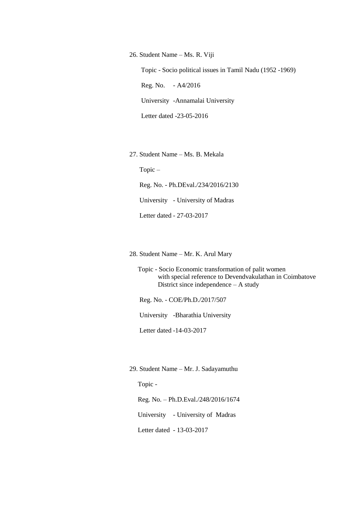26. Student Name – Ms. R. Viji Topic - Socio political issues in Tamil Nadu (1952 -1969) Reg. No. - A4/2016 University -Annamalai University Letter dated -23-05-2016

27. Student Name – Ms. B. Mekala

Topic –

 Reg. No. - Ph.DEval./234/2016/2130 University - University of Madras Letter dated - 27-03-2017

28. Student Name – Mr. K. Arul Mary

 Topic - Socio Economic transformation of palit women with special reference to Devendvakulathan in Coimbatove District since independence – A study

Reg. No. - COE/Ph.D./2017/507

University -Bharathia University

Letter dated -14-03-2017

29. Student Name – Mr. J. Sadayamuthu

Topic -

Reg. No. – Ph.D.Eval./248/2016/1674

University - University of Madras

Letter dated - 13-03-2017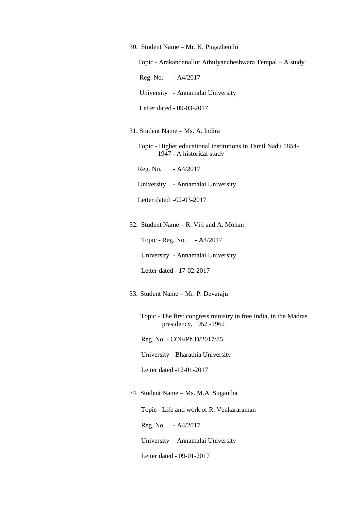30. Student Name – Mr. K. Pugazhenthi

Topic - Arakandanallur Athulyanaheshwara Tempal – A study

Reg. No. - A4/2017

University - Annamalai University

Letter dated - 09-03-2017

31. Student Name – Ms. A. Indira

 Topic - Higher educational institutions in Tamil Nadu 1854- 1947 - A historical study

Reg. No. - A4/2017

University - Annamalai University

Letter dated -02-03-2017

32. Student Name – R. Viji and A. Mohan

Topic - Reg. No. - A4/2017

University - Annamalai University

Letter dated - 17-02-2017

33. Student Name – Mr. P. Devaraju

Topic - The first congress ministry in free India, in the Madras presidency, 1952 -1962

Reg. No. - COE/Ph.D/2017/85

University -Bharathia University

Letter dated -12-01-2017

34. Student Name – Ms. M.A. Sugantha

Topic - Life and work of R. Venkararaman

Reg. No. - A4/2017

University - Annamalai University

Letter dated - 09-01-2017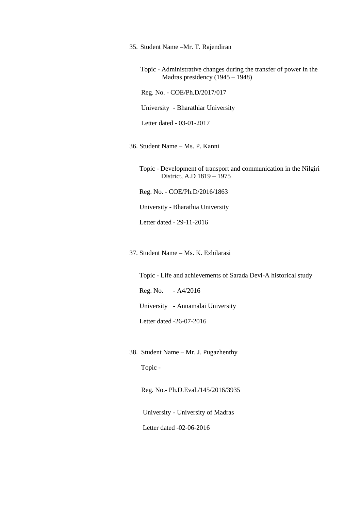35. Student Name –Mr. T. Rajendiran

Topic - Administrative changes during the transfer of power in the Madras presidency (1945 – 1948)

Reg. No. - COE/Ph.D/2017/017

University - Bharathiar University

Letter dated - 03-01-2017

36. Student Name – Ms. P. Kanni

 Topic - Development of transport and communication in the Nilgiri District, A.D 1819 – 1975

Reg. No. - COE/Ph.D/2016/1863

University - Bharathia University

Letter dated - 29-11-2016

37. Student Name – Ms. K. Ezhilarasi

Topic - Life and achievements of Sarada Devi-A historical study

Reg. No. - A4/2016

University - Annamalai University

Letter dated -26-07-2016

38. Student Name – Mr. J. Pugazhenthy

Topic -

Reg. No.- Ph.D.Eval./145/2016/3935

University - University of Madras

Letter dated -02-06-2016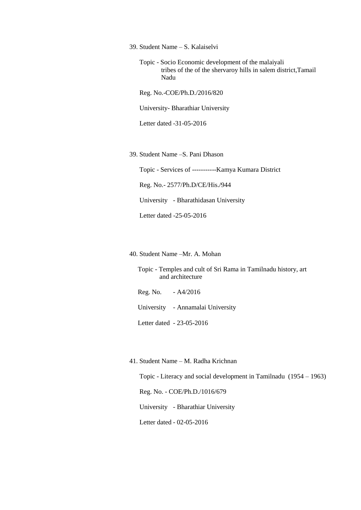39. Student Name – S. Kalaiselvi

 Topic - Socio Economic development of the malaiyali tribes of the of the shervaroy hills in salem district,Tamail Nadu

Reg. No.-COE/Ph.D./2016/820

University- Bharathiar University

Letter dated -31-05-2016

39. Student Name –S. Pani Dhason

Topic - Services of -----------Kamya Kumara District

Reg. No.- 2577/Ph.D/CE/His./944

University - Bharathidasan University

Letter dated -25-05-2016

40. Student Name –Mr. A. Mohan

 Topic - Temples and cult of Sri Rama in Tamilnadu history, art and architecture

Reg. No. - A4/2016

University - Annamalai University

Letter dated - 23-05-2016

#### 41. Student Name – M. Radha Krichnan

Topic - Literacy and social development in Tamilnadu (1954 – 1963)

Reg. No. - COE/Ph.D./1016/679

University - Bharathiar University

Letter dated - 02-05-2016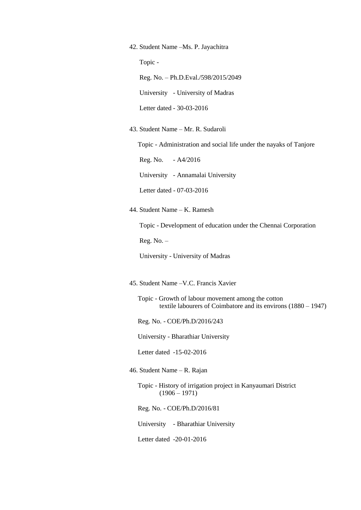42. Student Name –Ms. P. Jayachitra

Topic -

Reg. No. – Ph.D.Eval./598/2015/2049

University - University of Madras

Letter dated - 30-03-2016

43. Student Name – Mr. R. Sudaroli

Topic - Administration and social life under the nayaks of Tanjore

Reg. No. - A4/2016

University - Annamalai University

Letter dated - 07-03-2016

44. Student Name – K. Ramesh

Topic - Development of education under the Chennai Corporation

Reg. No. –

University - University of Madras

45. Student Name –V.C. Francis Xavier

 Topic - Growth of labour movement among the cotton textile labourers of Coimbatore and its environs (1880 – 1947)

Reg. No. - COE/Ph.D/2016/243

University - Bharathiar University

Letter dated -15-02-2016

46. Student Name – R. Rajan

 Topic - History of irrigation project in Kanyaumari District  $(1906 - 1971)$ 

Reg. No. - COE/Ph.D/2016/81

University - Bharathiar University

Letter dated -20-01-2016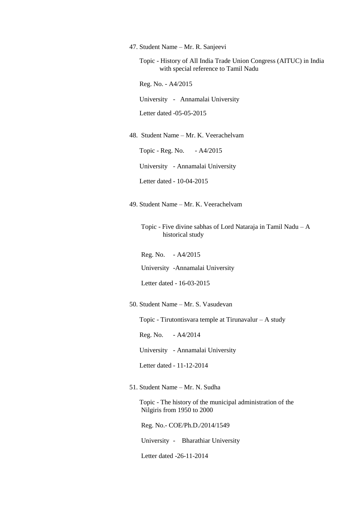47. Student Name – Mr. R. Sanjeevi

 Topic - History of All India Trade Union Congress (AITUC) in India with special reference to Tamil Nadu

Reg. No. - A4/2015

University - Annamalai University

Letter dated -05-05-2015

48. Student Name – Mr. K. Veerachelvam

Topic - Reg. No. - A4/2015

University - Annamalai University

- Letter dated 10-04-2015
- 49. Student Name Mr. K. Veerachelvam

 Topic - Five divine sabhas of Lord Nataraja in Tamil Nadu – A historical study

Reg. No. - A4/2015

University -Annamalai University

Letter dated - 16-03-2015

50. Student Name – Mr. S. Vasudevan

Topic - Tirutontisvara temple at Tirunavalur – A study

Reg. No. - A4/2014

University - Annamalai University

Letter dated - 11-12-2014

51. Student Name – Mr. N. Sudha

 Topic - The history of the municipal administration of the Nilgiris from 1950 to 2000

Reg. No.- COE/Ph.D./2014/1549

University - Bharathiar University

Letter dated -26-11-2014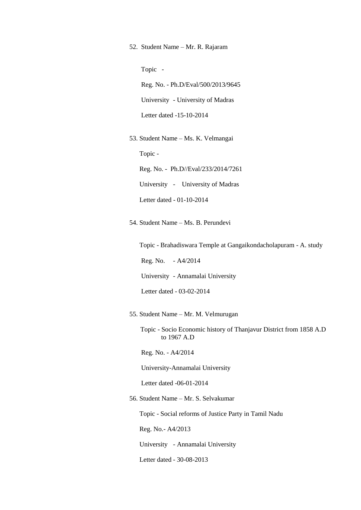52. Student Name – Mr. R. Rajaram

Topic -

 Reg. No. - Ph.D/Eval/500/2013/9645 University - University of Madras Letter dated -15-10-2014

53. Student Name – Ms. K. Velmangai

Topic -

Reg. No. - Ph.D//Eval/233/2014/7261

University - University of Madras

Letter dated - 01-10-2014

54. Student Name – Ms. B. Perundevi

Topic - Brahadiswara Temple at Gangaikondacholapuram - A. study

Reg. No. - A4/2014

University - Annamalai University

Letter dated - 03-02-2014

55. Student Name – Mr. M. Velmurugan

Topic - Socio Economic history of Thanjavur District from 1858 A.D to 1967 A.D

Reg. No. - A4/2014

University-Annamalai University

Letter dated -06-01-2014

56. Student Name – Mr. S. Selvakumar

Topic - Social reforms of Justice Party in Tamil Nadu

Reg. No.- A4/2013

University - Annamalai University

Letter dated - 30-08-2013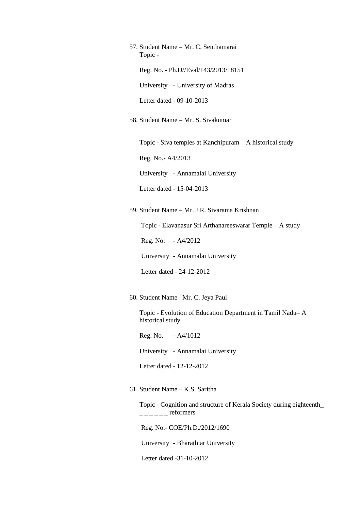57. Student Name – Mr. C. Senthamarai Topic - Reg. No. - Ph.D//Eval/143/2013/18151 University - University of Madras Letter dated - 09-10-2013

58. Student Name – Mr. S. Sivakumar

Topic - Siva temples at Kanchipuram – A historical study

Reg. No.- A4/2013

University - Annamalai University

Letter dated - 15-04-2013

59. Student Name – Mr. J.R. Sivarama Krishnan

Topic - Elavanasur Sri Arthanareeswarar Temple – A study

Reg. No. - A4/2012

University - Annamalai University

Letter dated - 24-12-2012

60. Student Name –Mr. C. Jeya Paul

 Topic - Evolution of Education Department in Tamil Nadu– A historical study

Reg. No. - A4/1012

University - Annamalai University

Letter dated - 12-12-2012

61. Student Name – K.S. Saritha

 Topic - Cognition and structure of Kerala Society during eighteenth\_  $---$  reformers

Reg. No.- COE/Ph.D./2012/1690

University - Bharathiar University

Letter dated -31-10-2012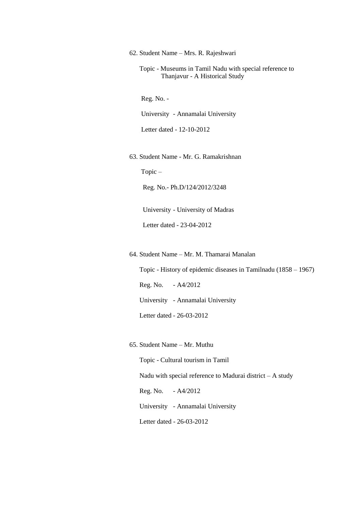62. Student Name – Mrs. R. Rajeshwari

 Topic - Museums in Tamil Nadu with special reference to Thanjavur - A Historical Study

Reg. No. -

University - Annamalai University

Letter dated - 12-10-2012

63. Student Name - Mr. G. Ramakrishnan

Topic –

Reg. No.- Ph.D/124/2012/3248

University - University of Madras

Letter dated - 23-04-2012

64. Student Name – Mr. M. Thamarai Manalan

 Topic - History of epidemic diseases in Tamilnadu (1858 – 1967) Reg. No. - A4/2012 University - Annamalai University Letter dated - 26-03-2012

65. Student Name – Mr. Muthu

 Topic - Cultural tourism in Tamil Nadu with special reference to Madurai district  $- A$  study Reg. No. - A4/2012 University - Annamalai University Letter dated - 26-03-2012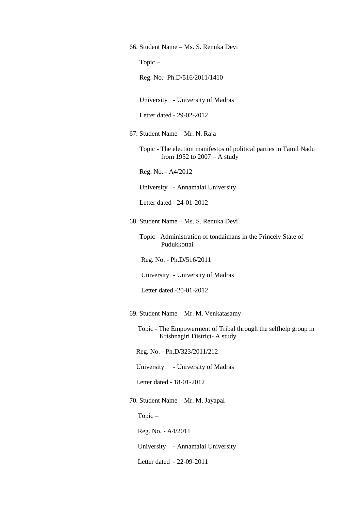66. Student Name – Ms. S. Renuka Devi

Topic –

Reg. No.- Ph.D/516/2011/1410

University - University of Madras

Letter dated - 29-02-2012

67. Student Name – Mr. N. Raja

 Topic - The election manifestos of political parties in Tamil Nadu from 1952 to 2007 – A study

Reg. No. - A4/2012

University - Annamalai University

Letter dated - 24-01-2012

68. Student Name – Ms. S. Renuka Devi

 Topic - Administration of tondaimans in the Princely State of Pudukkottai

Reg. No. - Ph.D/516/2011

University - University of Madras

Letter dated -20-01-2012

69. Student Name – Mr. M. Venkatasamy

 Topic - The Empowerment of Tribal through the selfhelp group in Krishnagiri District- A study

Reg. No. - Ph.D/323/2011/212

University - University of Madras

Letter dated - 18-01-2012

70. Student Name – Mr. M. Jayapal

Topic –

Reg. No. - A4/2011

University - Annamalai University

Letter dated - 22-09-2011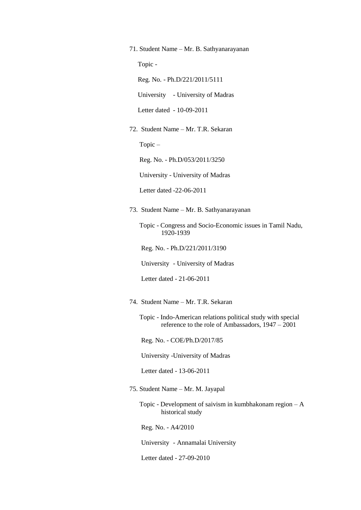71. Student Name – Mr. B. Sathyanarayanan

Topic -

Reg. No. - Ph.D/221/2011/5111

University - University of Madras

Letter dated - 10-09-2011

72. Student Name – Mr. T.R. Sekaran

Topic –

Reg. No. - Ph.D/053/2011/3250

University - University of Madras

Letter dated -22-06-2011

73. Student Name – Mr. B. Sathyanarayanan

 Topic - Congress and Socio-Economic issues in Tamil Nadu, 1920-1939

Reg. No. - Ph.D/221/2011/3190

University - University of Madras

Letter dated - 21-06-2011

74. Student Name – Mr. T.R. Sekaran

 Topic - Indo-American relations political study with special reference to the role of Ambassadors, 1947 – 2001

Reg. No. - COE/Ph.D/2017/85

University -University of Madras

Letter dated - 13-06-2011

75. Student Name – Mr. M. Jayapal

 Topic - Development of saivism in kumbhakonam region – A historical study

Reg. No. - A4/2010

University - Annamalai University

Letter dated - 27-09-2010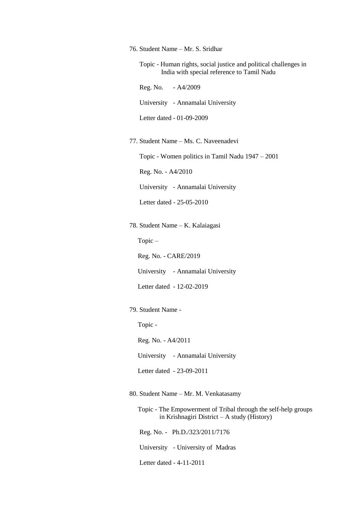76. Student Name – Mr. S. Sridhar

 Topic - Human rights, social justice and political challenges in India with special reference to Tamil Nadu

Reg. No. - A4/2009

University - Annamalai University

Letter dated - 01-09-2009

77. Student Name – Ms. C. Naveenadevi

Topic - Women politics in Tamil Nadu 1947 – 2001

Reg. No. - A4/2010

University - Annamalai University

Letter dated - 25-05-2010

78. Student Name – K. Kalaiagasi

Topic –

Reg. No. - CARE/2019

University - Annamalai University

Letter dated - 12-02-2019

79. Student Name -

Topic -

Reg. No. - A4/2011

University - Annamalai University

Letter dated - 23-09-2011

80. Student Name – Mr. M. Venkatasamy

 Topic - The Empowerment of Tribal through the self-help groups in Krishnagiri District – A study (History)

Reg. No. - Ph.D./323/2011/7176

University - University of Madras

Letter dated - 4-11-2011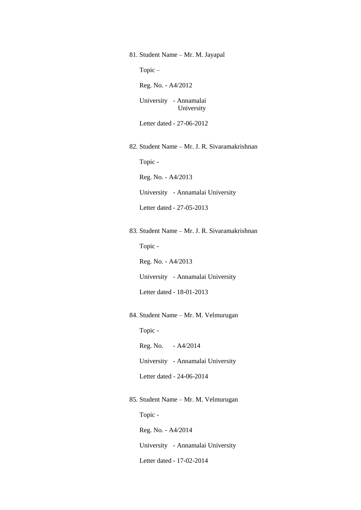81. Student Name – Mr. M. Jayapal Topic – Reg. No. - A4/2012 University - Annamalai University Letter dated - 27-06-2012 82. Student Name – Mr. J. R. Sivaramakrishnan Topic - Reg. No. - A4/2013 University - Annamalai University Letter dated - 27-05-2013 83. Student Name – Mr. J. R. Sivaramakrishnan Topic - Reg. No. - A4/2013 University - Annamalai University Letter dated - 18-01-2013 84. Student Name – Mr. M. Velmurugan Topic - Reg. No. - A4/2014 University - Annamalai University

Letter dated - 24-06-2014

## 85. Student Name – Mr. M. Velmurugan

Topic -

Reg. No. - A4/2014

University - Annamalai University

Letter dated - 17-02-2014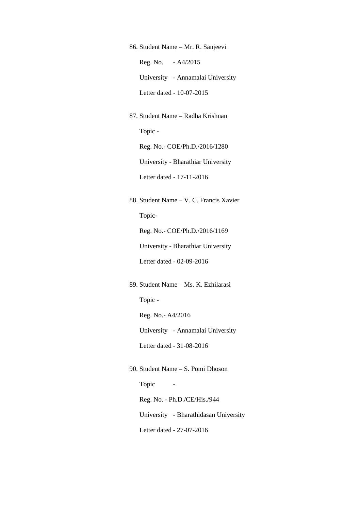86. Student Name – Mr. R. Sanjeevi Reg. No. - A4/2015 University - Annamalai University Letter dated - 10-07-2015

87. Student Name – Radha Krishnan Topic - Reg. No.- COE/Ph.D./2016/1280 University - Bharathiar University Letter dated - 17-11-2016

88. Student Name – V. C. Francis Xavier Topic- Reg. No.- COE/Ph.D./2016/1169

University - Bharathiar University

Letter dated - 02-09-2016

89. Student Name – Ms. K. Ezhilarasi

Topic -

Reg. No.- A4/2016

University - Annamalai University

Letter dated - 31-08-2016

90. Student Name – S. Pomi Dhoson Topic - Reg. No. - Ph.D./CE/His./944 University - Bharathidasan University Letter dated - 27-07-2016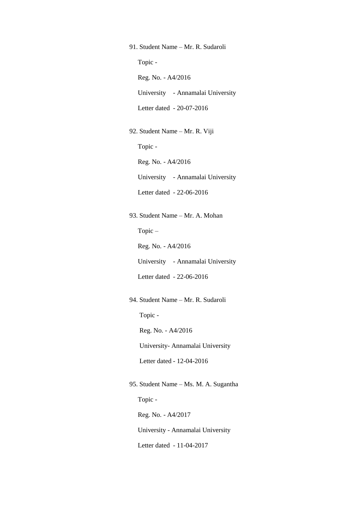91. Student Name – Mr. R. Sudaroli

Topic -

Reg. No. - A4/2016

University - Annamalai University

Letter dated - 20-07-2016

92. Student Name – Mr. R. Viji

Topic -

Reg. No. - A4/2016

University - Annamalai University

Letter dated - 22-06-2016

93. Student Name – Mr. A. Mohan

Topic –

Reg. No. - A4/2016

University - Annamalai University

Letter dated - 22-06-2016

94. Student Name – Mr. R. Sudaroli

Topic -

Reg. No. - A4/2016

University- Annamalai University

Letter dated - 12-04-2016

95. Student Name – Ms. M. A. Sugantha Topic - Reg. No. - A4/2017 University - Annamalai University

Letter dated - 11-04-2017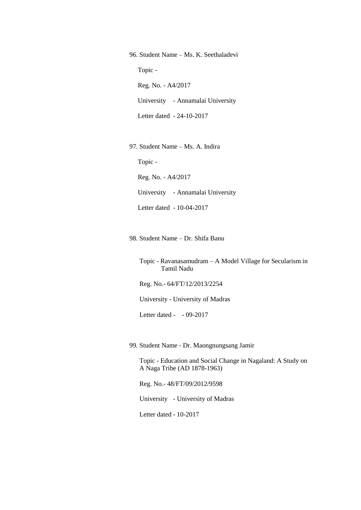96. Student Name – Ms. K. Seethaladevi Topic - Reg. No. - A4/2017 University - Annamalai University Letter dated - 24-10-2017

97. Student Name – Ms. A. Indira

Topic -

Reg. No. - A4/2017

University - Annamalai University

Letter dated - 10-04-2017

98. Student Name – Dr. Shifa Banu

 Topic - Ravanasamudram – A Model Village for Secularism in Tamil Nadu

Reg. No.- 64/FT/12/2013/2254

University - University of Madras

Letter dated - - 09-2017

99. Student Name - Dr. Maongnungsang Jamir

 Topic - Education and Social Change in Nagaland: A Study on A Naga Tribe (AD 1878-1963)

Reg. No.- 48/FT/09/2012/9598

University - University of Madras

Letter dated - 10-2017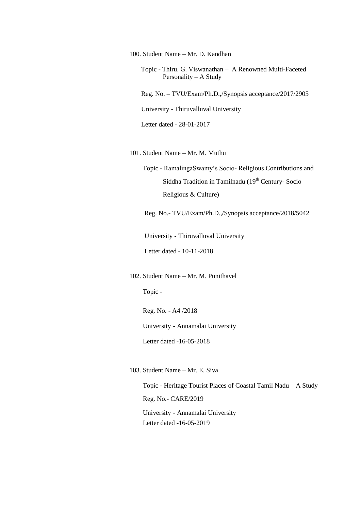100. Student Name – Mr. D. Kandhan

- Topic Thiru. G. Viswanathan A Renowned Multi-Faceted Personality – A Study
- Reg. No. TVU/Exam/Ph.D.,/Synopsis acceptance/2017/2905

University - Thiruvalluval University

Letter dated - 28-01-2017

101. Student Name – Mr. M. Muthu

 Topic - RamalingaSwamy"s Socio- Religious Contributions and Siddha Tradition in Tamilnadu ( $19<sup>th</sup>$  Century-Socio – Religious & Culture)

Reg. No.- TVU/Exam/Ph.D.,/Synopsis acceptance/2018/5042

University - Thiruvalluval University

Letter dated - 10-11-2018

102. Student Name – Mr. M. Punithavel

Topic -

Reg. No. - A4 /2018

University - Annamalai University

Letter dated -16-05-2018

103. Student Name – Mr. E. Siva

 Topic - Heritage Tourist Places of Coastal Tamil Nadu – A Study Reg. No.- CARE/2019 University - Annamalai University Letter dated -16-05-2019